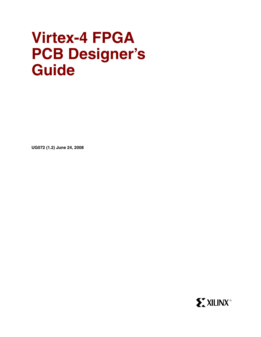# **Virtex-4 FPGA PCB Designer's Guide**

**UG072 (1.2) June 24, 2008**

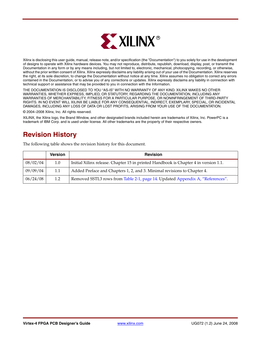

Xilinx is disclosing this user guide, manual, release note, and/or specification (the "Documentation") to you solely for use in the development of designs to operate with Xilinx hardware devices. You may not reproduce, distribute, republish, download, display, post, or transmit the Documentation in any form or by any means including, but not limited to, electronic, mechanical, photocopying, recording, or otherwise, without the prior written consent of Xilinx. Xilinx expressly disclaims any liability arising out of your use of the Documentation. Xilinx reserves the right, at its sole discretion, to change the Documentation without notice at any time. Xilinx assumes no obligation to correct any errors contained in the Documentation, or to advise you of any corrections or updates. Xilinx expressly disclaims any liability in connection with technical support or assistance that may be provided to you in connection with the Information.

THE DOCUMENTATION IS DISCLOSED TO YOU "AS-IS" WITH NO WARRANTY OF ANY KIND. XILINX MAKES NO OTHER WARRANTIES, WHETHER EXPRESS, IMPLIED, OR STATUTORY, REGARDING THE DOCUMENTATION, INCLUDING ANY WARRANTIES OF MERCHANTABILITY, FITNESS FOR A PARTICULAR PURPOSE, OR NONINFRINGEMENT OF THIRD-PARTY RIGHTS. IN NO EVENT WILL XILINX BE LIABLE FOR ANY CONSEQUENTIAL, INDIRECT, EXEMPLARY, SPECIAL, OR INCIDENTAL DAMAGES, INCLUDING ANY LOSS OF DATA OR LOST PROFITS, ARISING FROM YOUR USE OF THE DOCUMENTATION.

© 2004–2008 Xilinx, Inc. All rights reserved.

XILINX, the Xilinx logo, the Brand Window, and other designated brands included herein are trademarks of Xilinx, Inc. PowerPC is a trademark of IBM Corp. and is used under license. All other trademarks are the property of their respective owners.

## <span id="page-1-0"></span>**Revision History**

The following table shows the revision history for this document.

|          | <b>Version</b> | <b>Revision</b>                                                                     |
|----------|----------------|-------------------------------------------------------------------------------------|
| 08/02/04 | $1.0\,$        | Initial Xilinx release. Chapter 15 in printed Handbook is Chapter 4 in version 1.1. |
| 09/09/04 | 1.1            | Added Preface and Chapters 1, 2, and 3. Minimal revisions to Chapter 4.             |
| 06/24/08 | 1.2            | Removed SSTL3 rows from Table 2-1, page 14. Updated Appendix A, "References".       |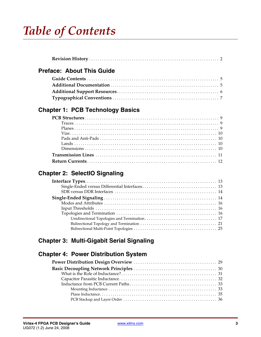# *Table of Contents*

|--|--|--|

## **[Preface: About This Guide](#page-4-0)**

### **[Chapter 1: PCB Technology Basics](#page-8-0)**

## **[Chapter 2: SelectIO Signaling](#page-12-0)**

## **[Chapter 3: Multi-Gigabit Serial Signaling](#page-26-0)**

## **[Chapter 4: Power Distribution System](#page-28-0)**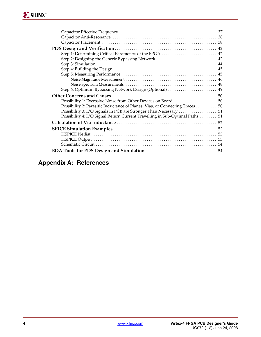| Step 1: Determining Critical Parameters of the FPGA  42                      |  |
|------------------------------------------------------------------------------|--|
| Step 2: Designing the Generic Bypassing Network  42                          |  |
|                                                                              |  |
|                                                                              |  |
|                                                                              |  |
|                                                                              |  |
|                                                                              |  |
| Step 6: Optimum Bypassing Network Design (Optional)  49                      |  |
|                                                                              |  |
|                                                                              |  |
| Possibility 2: Parasitic Inductance of Planes, Vias, or Connecting Traces 50 |  |
|                                                                              |  |
| Possibility 4: I/O Signal Return Current Travelling in Sub-Optimal Paths  51 |  |
|                                                                              |  |
|                                                                              |  |
|                                                                              |  |
|                                                                              |  |
|                                                                              |  |
|                                                                              |  |

## **[Appendix A: References](#page-54-1)**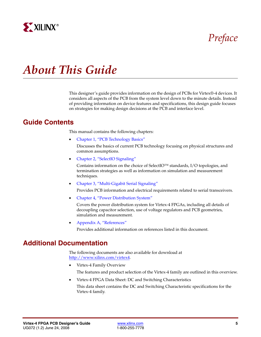

## *Preface*

# <span id="page-4-0"></span>*About This Guide*

This designer's guide provides information on the design of PCBs for Virtex®-4 devices. It considers all aspects of the PCB from the system level down to the minute details. Instead of providing information on device features and specifications, this design guide focuses on strategies for making design decisions at the PCB and interface level.

## <span id="page-4-1"></span>**Guide Contents**

This manual contains the following chapters:

• [Chapter 1, "PCB Technology Basics"](#page-8-4)

Discusses the basics of current PCB technology focusing on physical structures and common assumptions.

• [Chapter 2, "SelectIO Signaling"](#page-12-3)

Contains information on the choice of SelectIO™ standards, I/O topologies, and termination strategies as well as information on simulation and measurement techniques.

• [Chapter 3, "Multi-Gigabit Serial Signaling"](#page-26-1)

Provides PCB information and electrical requirements related to serial transceivers.

• [Chapter 4, "Power Distribution System"](#page-28-2)

Covers the power distribution system for Virtex-4 FPGAs, including all details of decoupling capacitor selection, use of voltage regulators and PCB geometries, simulation and measurement.

• [Appendix A, "References"](#page-54-0)

Provides additional information on references listed in this document.

## <span id="page-4-2"></span>**Additional Documentation**

The following documents are also available for download at <http://www.xilinx.com/virtex4>.

• Virtex-4 Family Overview

The features and product selection of the Virtex-4 family are outlined in this overview.

• Virtex-4 FPGA Data Sheet: DC and Switching Characteristics

This data sheet contains the DC and Switching Characteristic specifications for the Virtex-4 family.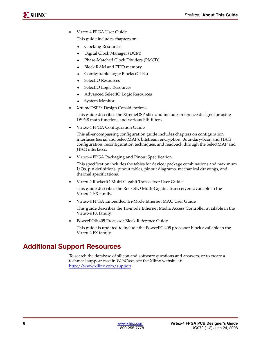• Virtex-4 FPGA User Guide

This guide includes chapters on:

- Clocking Resources
- Digital Clock Manager (DCM)
- Phase-Matched Clock Dividers (PMCD)
- Block RAM and FIFO memory
- Configurable Logic Blocks (CLBs)
- SelectIO Resources
- SelectIO Logic Resources
- Advanced SelectIO Logic Resources
- **System Monitor**
- XtremeDSP™ Design Considerations

This guide describes the XtremeDSP slice and includes reference designs for using DSP48 math functions and various FIR filters.

• Virtex-4 FPGA Configuration Guide

This all-encompassing configuration guide includes chapters on configuration interfaces (serial and SelectMAP), bitstream encryption, Boundary-Scan and JTAG configuration, reconfiguration techniques, and readback through the SelectMAP and JTAG interfaces.

• Virtex-4 FPGA Packaging and Pinout Specification

This specification includes the tables for device/package combinations and maximum I/Os, pin definitions, pinout tables, pinout diagrams, mechanical drawings, and thermal specifications.

• Virtex-4 RocketIO Multi-Gigabit Transceiver User Guide

This guide describes the RocketIO Multi-Gigabit Transceivers available in the Virtex-4-FX family.

• Virtex-4 FPGA Embedded Tri-Mode Ethernet MAC User Guide

This guide describes the Tri-mode Ethernet Media Access Controller available in the Virtex-4 FX family.

• PowerPC® 405 Processor Block Reference Guide

This guide is updated to include the PowerPC 405 processor block available in the Virtex-4 FX family.

## <span id="page-5-0"></span>**Additional Support Resources**

To search the database of silicon and software questions and answers, or to create a technical support case in WebCase, see the Xilinx website at: [http://www.xilinx.com/support.](http://www.xilinx.com/support)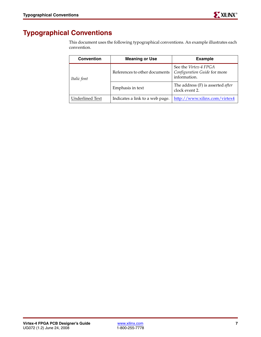

## <span id="page-6-0"></span>**Typographical Conventions**

This document uses the following typographical conventions. An example illustrates each convention.

| <b>Convention</b> | <b>Meaning or Use</b>           | <b>Example</b>                                                               |
|-------------------|---------------------------------|------------------------------------------------------------------------------|
| Italic font       | References to other documents   | See the <i>Virtex-4 FPGA</i><br>Configuration Guide for more<br>information. |
|                   | Emphasis in text                | The address (F) is asserted <i>after</i><br>clock event 2.                   |
| Underlined Text   | Indicates a link to a web page. | http://www.xilinx.com/virtex4                                                |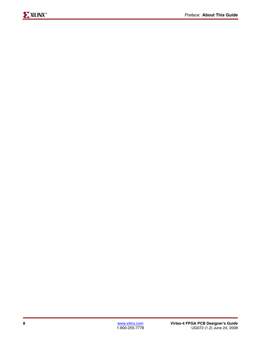

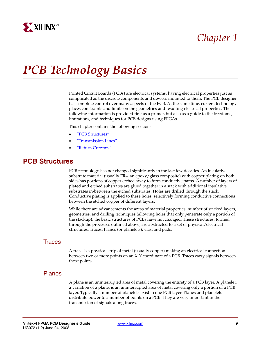

## *Chapter 1*

# <span id="page-8-4"></span><span id="page-8-0"></span>*PCB Technology Basics*

Printed Circuit Boards (PCBs) are electrical systems, having electrical properties just as complicated as the discrete components and devices mounted to them. The PCB designer has complete control over many aspects of the PCB. At the same time, current technology places constraints and limits on the geometries and resulting electrical properties. The following information is provided first as a primer, but also as a guide to the freedoms, limitations, and techniques for PCB designs using FPGAs.

This chapter contains the following sections:

- ["PCB Structures"](#page-8-1)
- ["Transmission Lines"](#page-10-0)
- ["Return Currents"](#page-11-0)

#### <span id="page-8-1"></span>**PCB Structures**

PCB technology has not changed significantly in the last few decades. An insulative substrate material (usually FR4, an epoxy/glass composite) with copper plating on both sides has portions of copper etched away to form conductive paths. A number of layers of plated and etched substrates are glued together in a stack with additional insulative substrates in-between the etched substrates. Holes are drilled through the stack. Conductive plating is applied to these holes, selectively forming conductive connections between the etched copper of different layers.

While there are advancements the areas of material properties, number of stacked layers, geometries, and drilling techniques (allowing holes that only penetrate only a portion of the stackup), the basic structures of PCBs have not changed. These structures, formed through the processes outlined above, are abstracted to a set of physical/electrical structures: Traces, Planes (or planelets), vias, and pads.

#### <span id="page-8-2"></span>**Traces**

A trace is a physical strip of metal (usually copper) making an electrical connection between two or more points on an X-Y coordinate of a PCB. Traces carry signals between these points.

#### <span id="page-8-3"></span>Planes

A plane is an uninterrupted area of metal covering the entirety of a PCB layer. A planelet, a variation of a plane, is an uninterrupted area of metal covering only a portion of a PCB layer. Typically a number of planelets exist in one PCB layer. Planes and planelets distribute power to a number of points on a PCB. They are very important in the transmission of signals along traces.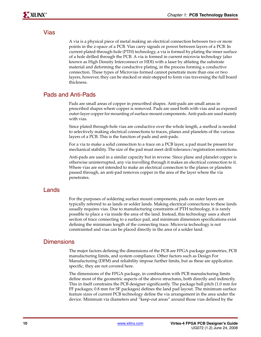#### <span id="page-9-0"></span>Vias

A via is a physical piece of metal making an electrical connection between two or more points in the z-space of a PCB. Vias carry signals or power between layers of a PCB. In current plated-through-hole (PTH) technology, a via is formed by plating the inner surface of a hole drilled through the PCB. A via is formed in current microvia technology (also known as High Density Interconnect or HDI) with a laser by ablating the substrate material and deforming the conductive plating, in the process forming a conductive connection. These types of Microvias formed cannot penetrate more than one or two layers, however, they can be stacked or stair-stepped to form vias traversing the full board thickness.

#### <span id="page-9-1"></span>Pads and Anti-Pads

Pads are small areas of copper in prescribed shapes. Anti-pads are small areas in prescribed shapes where copper is removed. Pads are used both with vias and as exposed outer-layer copper for mounting of surface-mount components. Anti-pads are used mainly with vias.

Since plated through-hole vias are conductive over the whole length, a method is needed to selectively making electrical connections to traces, planes and planelets of the various layers of a PCB. This is the function of pads and anti-pads.

For a via to make a solid connection to a trace on a PCB layer, a pad must be present for mechanical stability. The size of the pad must meet drill tolerance/registration restrictions.

Anti-pads are used in a similar capacity but in reverse. Since plane and planelet copper is otherwise uninterrupted, any via travelling through it makes an electrical connection to it. Where vias are not intended to make an electrical connection to the planes or planelets passed through, an anti-pad removes copper in the area of the layer where the via penetrates.

#### <span id="page-9-2"></span>Lands

For the purposes of soldering surface mount components, pads on outer layers are typically referred to as lands or solder lands. Making electrical connections to these lands usually requires vias. Due to manufacturing constraints of PTH technology, it is rarely possible to place a via inside the area of the land. Instead, this technology uses a short section of trace connecting to a surface pad, and minimum dimension specifications exist defining the minimum length of the connecting trace. Microvia technology is not constrainted and vias can be placed directly in the area of a solder land.

#### <span id="page-9-3"></span>**Dimensions**

The major factors defining the dimensions of the PCB are FPGA package geometries, PCB manufacturing limits, and system compliance. Other factors such as Design For Manufacturing (DFM) and reliability impose further limits, but as these are application specific, they are not covered here.

The dimensions of the FPGA package, in combination with PCB manufacturing limits define most of the geometric aspects of the above structures, both directly and indirectly. This in itself constrains the PCB designer significantly. The package ball pitch (1.0 mm for FF packages; 0.8 mm for SF packages) defines the land pad layout. The minimum surface feature sizes of current PCB technology define the via arrangement in the area under the device. Minimum via diameters and "keep-out areas" around those vias defined by the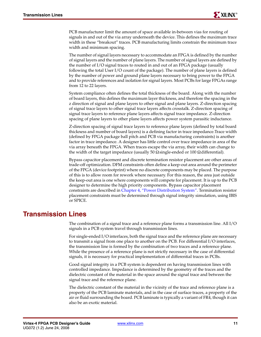

PCB manufacturer limit the amount of space available in-between vias for routing of signals in and out of the via array underneath the device. This defines the maximum trace width in these "breakout" traces. PCB manufacturing limits constrain the minimum trace width and minimum spacing.

The number of signal layers necessary to accommodate an FPGA is defined by the number of signal layers and the number of plane layers. The number of signal layers are defined by the number of I/O signal traces to routed in and out of an FPGA package (usually following the total User I/O count of the package). The number of plane layers is defined by the number of power and ground plane layers necessary to bring power to the FPGA and to provide references and isolation for signal layers. Most PCBs for large FPGAs range from 12 to 22 layers.

System compliance often defines the total thickness of the board. Along with the number of board layers, this defines the maximum layer thickness, and therefore the spacing in the z direction of signal and plane layers to other signal and plane layers. Z-direction spacing of signal trace layers to other signal trace layers affects crosstalk. Z-direction spacing of signal trace layers to reference plane layers affects signal trace impedance. Z-direction spacing of plane layers to other plane layers affects power system parasitic inductance.

Z-direction spacing of signal trace layers to reference plane layers (defined by total board thickness and number of board layers) is a defining factor in trace impedance.Trace width (defined by FPGA package ball pitch and PCB via manufacturing constraints) is another factor in trace impedance. A designer has little control over trace impedance in area of the via array beneath the FPGA. When traces escape the via array, their width can change to the width of the target impedance (usually 50  $\Omega$  single-ended or 100  $\Omega$  differential).

Bypass capacitor placement and discrete termination resistor placement are other areas of trade-off optimization. DFM constraints often define a keep-out area around the perimeter of the FPGA (device footprint) where no discrete components may be placed. The purpose of this is to allow room for rework where necessary. For this reason, the area just outside the keep-out area is one where components will compete for placement. It is up to the PCB designer to determine the high priority components. Bypass capacitor placement constraints are described in [Chapter 4, "Power Distribution System"](#page-28-2). Termination resistor placement constraints must be determined through signal integrity simulation, using IBIS or SPICE.

## <span id="page-10-0"></span>**Transmission Lines**

The combination of a signal trace and a reference plane forms a transmission line. All I/O signals in a PCB system travel through transmission lines.

For single-ended I/O interfaces, both the signal trace and the reference plane are necessary to transmit a signal from one place to another on the PCB. For differential I/O interfaces, the transmission line is formed by the combination of two traces and a reference plane. While the presence of a reference plane is not strictly necessary in the case of differential signals, it is necessary for practical implementation of differential traces in PCBs.

Good signal integrity in a PCB system is dependent on having transmission lines with controlled impedance. Impedance is determined by the geometry of the traces and the dielectric constant of the material in the space around the signal trace and between the signal trace and the reference plane.

The dielectric constant of the material in the vicinity of the trace and reference plane is a property of the PCB laminate materials, and in the case of surface traces, a property of the air or fluid surrounding the board. PCB laminate is typically a variant of FR4, though it can also be an exotic material.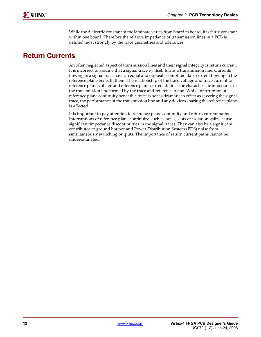While the dielectric constant of the laminate varies from board to board, it is fairly constant within one board. Therefore the relative impedance of transmission lines in a PCB is defined most strongly by the trace geometries and tolerances.

## <span id="page-11-0"></span>**Return Currents**

An often neglected aspect of transmission lines and their signal integrity is return current. It is incorrect to assume that a signal trace by itself forms a transmission line. Currents flowing in a signal trace have an equal and opposite complimentary current flowing in the reference plane beneath them. The relationship of the trace voltage and trace current to reference plane voltage and reference plane current defines the characteristic impedance of the transmission line formed by the trace and reference plane. While interruption of reference plane continuity beneath a trace is not as dramatic in effect as severing the signal trace, the performance of the transmission line and any devices sharing the reference plane is affected.

It is important to pay attention to reference plane continuity and return current paths. Interruptions of reference plane continuity, such as holes, slots or isolation splits, cause significant impedance discontinuities in the signal traces. They can also be a significant contributor to ground bounce and Power Distribution System (PDS) noise from simultaneously switching outputs. The importance of return current paths cannot be underestimated.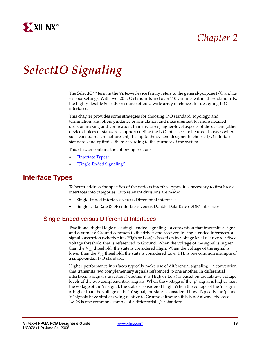

# *Chapter 2*

# <span id="page-12-3"></span><span id="page-12-0"></span>*SelectIO Signaling*

The SelectIO™ term in the Virtex-4 device family refers to the general-purpose I/O and its various settings. With over 20 I/O standards and over 110 variants within these standards, the highly flexible SelectIO resource offers a wide array of choices for designing I/O interfaces.

This chapter provides some strategies for choosing I/O standard, topology, and termination, and offers guidance on simulation and measurement for more detailed decision making and verification. In many cases, higher-level aspects of the system (other device choices or standards support) define the I/O interfaces to be used. In cases where such constraints are not present, it is up to the system designer to choose I/O interface standards and optimize them according to the purpose of the system.

This chapter contains the following sections:

- ["Interface Types"](#page-12-1)
- ["Single-Ended Signaling"](#page-13-2)

## <span id="page-12-1"></span>**Interface Types**

To better address the specifics of the various interface types, it is necessary to first break interfaces into categories. Two relevant divisions are made:

- Single-Ended interfaces versus Differential interfaces
- Single Data Rate (SDR) interfaces versus Double Data Rate (DDR) interfaces

#### <span id="page-12-2"></span>Single-Ended versus Differential Interfaces

Traditional digital logic uses single-ended signaling – a convention that transmits a signal and assumes a Ground common to the driver and receiver. In single-ended interfaces, a signal's assertion (whether it is High or Low) is based on its voltage level relative to a fixed voltage threshold that is referenced to Ground. When the voltage of the signal is higher than the  $V<sub>IH</sub>$  threshold, the state is considered High. When the voltage of the signal is lower than the  $V_{II}$  threshold, the state is considered Low. TTL is one common example of a single-ended I/O standard.

Higher-performance interfaces typically make use of differential signaling – a convention that transmits two complementary signals referenced to one another. In differential interfaces, a signal's assertion (whether it is High or Low) is based on the relative voltage levels of the two complementary signals. When the voltage of the 'p' signal is higher than the voltage of the 'n' signal, the state is considered High. When the voltage of the 'n' signal is higher than the voltage of the 'p' signal, the state is considered Low. Typically the 'p' and 'n' signals have similar swing relative to Ground, although this is not always the case. LVDS is one common example of a differential I/O standard.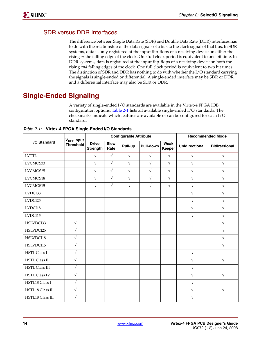### <span id="page-13-1"></span>SDR versus DDR Interfaces

The difference between Single Data Rate (SDR) and Double Data Rate (DDR) interfaces has to do with the relationship of the data signals of a bus to the clock signal of that bus. In SDR systems, data is only registered at the input flip-flops of a receiving device on either the rising *or* the falling edge of the clock. One full clock period is equivalent to one bit time. In DDR systems, data is registered at the input flip-flops of a receiving device on both the rising *and* falling edges of the clock. One full clock period is equivalent to two bit times. The distinction of SDR and DDR has nothing to do with whether the I/O standard carrying the signals is single-ended or differential. A single-ended interface may be SDR or DDR, and a differential interface may also be SDR or DDR.

## <span id="page-13-2"></span>**Single-Ended Signaling**

A variety of single-ended I/O standards are available in the Virtex-4 FPGA IOB configuration options. Table 2-1 lists all available single-ended I/O standards. The checkmarks indicate which features are available or can be configured for each I/O standard.

|                       | V <sub>REF</sub> Input<br><b>Threshold</b> |                                 |                     | <b>Configurable Attribute</b> | <b>Recommended Mode</b> |                       |                       |                      |
|-----------------------|--------------------------------------------|---------------------------------|---------------------|-------------------------------|-------------------------|-----------------------|-----------------------|----------------------|
| I/O Standard          |                                            | <b>Drive</b><br><b>Strength</b> | <b>Slew</b><br>Rate | Pull-up                       | <b>Pull-down</b>        | Weak<br><b>Keeper</b> | <b>Unidirectional</b> | <b>Bidirectional</b> |
| <b>LVTTL</b>          |                                            | $\sqrt{}$                       | $\sqrt{}$           | $\sqrt{ }$                    | $\sqrt{}$               | $\sqrt{ }$            | $\sqrt{}$             | $\sqrt{}$            |
| LVCMOS33              |                                            | $\sqrt{}$                       | $\sqrt{ }$          | $\sqrt{}$                     | $\sqrt{ }$              | $\sqrt{ }$            | $\sqrt{ }$            | $\sqrt{}$            |
| LVCMOS25              |                                            | $\sqrt{}$                       | $\sqrt{}$           | $\sqrt{}$                     | $\sqrt{}$               | $\sqrt{ }$            | $\sqrt{ }$            | $\sqrt{}$            |
| LVCMOS18              |                                            | $\sqrt{}$                       | $\sqrt{}$           | $\sqrt{ }$                    | $\sqrt{ }$              | $\sqrt{ }$            | $\sqrt{ }$            | $\sqrt{}$            |
| LVCMOS15              |                                            | $\sqrt{}$                       | $\sqrt{ }$          | $\sqrt{ }$                    | $\sqrt{}$               | $\sqrt{ }$            | $\sqrt{ }$            | $\sqrt{ }$           |
| LVDCI33               |                                            |                                 |                     |                               |                         |                       | $\sqrt{ }$            | $\sqrt{}$            |
| LVDCI25               |                                            |                                 |                     |                               |                         |                       | $\sqrt{ }$            | $\sqrt{}$            |
| LVDCI18               |                                            |                                 |                     |                               |                         |                       | $\sqrt{ }$            | $\sqrt{}$            |
| LVDCI15               |                                            |                                 |                     |                               |                         |                       | $\sqrt{ }$            | $\sqrt{}$            |
| HSLVDCI33             | $\sqrt{}$                                  |                                 |                     |                               |                         |                       |                       | $\sqrt{2}$           |
| HSLVDCI25             | $\sqrt{}$                                  |                                 |                     |                               |                         |                       |                       | $\sqrt{}$            |
| HSLVDCI18             | $\sqrt{}$                                  |                                 |                     |                               |                         |                       |                       | $\sqrt{}$            |
| HSLVDCI15             | $\sqrt{}$                                  |                                 |                     |                               |                         |                       |                       | $\sqrt{}$            |
| <b>HSTL Class I</b>   | $\sqrt{}$                                  |                                 |                     |                               |                         |                       | $\sqrt{ }$            |                      |
| <b>HSTL Class II</b>  | $\sqrt{}$                                  |                                 |                     |                               |                         |                       | $\sqrt{ }$            | $\sqrt{ }$           |
| <b>HSTL Class III</b> | $\sqrt{}$                                  |                                 |                     |                               |                         |                       | $\sqrt{ }$            |                      |
| <b>HSTL Class IV</b>  | $\sqrt{}$                                  |                                 |                     |                               |                         |                       | $\sqrt{ }$            | $\sqrt{}$            |
| HSTL18 Class I        | $\sqrt{}$                                  |                                 |                     |                               |                         |                       | $\sqrt{ }$            |                      |
| HSTL18 Class II       | $\sqrt{}$                                  |                                 |                     |                               |                         |                       | $\sqrt{ }$            | $\sqrt{}$            |
| HSTL18 Class III      | $\sqrt{}$                                  |                                 |                     |                               |                         |                       |                       |                      |

<span id="page-13-0"></span>*Table 2-1:* **Virtex-4 FPGA Single-Ended I/O Standards**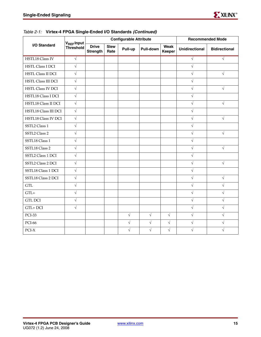

|                            | V <sub>REF</sub> Input<br><b>Threshold</b> |                                 |                     | <b>Configurable Attribute</b> | <b>Recommended Mode</b> |                |                       |                      |
|----------------------------|--------------------------------------------|---------------------------------|---------------------|-------------------------------|-------------------------|----------------|-----------------------|----------------------|
| I/O Standard               |                                            | <b>Drive</b><br><b>Strength</b> | <b>Slew</b><br>Rate | Pull-up                       | <b>Pull-down</b>        | Weak<br>Keeper | <b>Unidirectional</b> | <b>Bidirectional</b> |
| HSTL18 Class IV            | $\sqrt{ }$                                 |                                 |                     |                               |                         |                | $\sqrt{ }$            | $\sqrt{ }$           |
| <b>HSTL Class I DCI</b>    | $\sqrt{2}$                                 |                                 |                     |                               |                         |                | $\sqrt{ }$            |                      |
| <b>HSTL Class II DCI</b>   | $\sqrt{}$                                  |                                 |                     |                               |                         |                | $\sqrt{ }$            | $\sqrt{ }$           |
| <b>HSTL Class III DCI</b>  | $\sqrt{}$                                  |                                 |                     |                               |                         |                | $\sqrt{ }$            |                      |
| <b>HSTL Class IV DCI</b>   | $\sqrt{}$                                  |                                 |                     |                               |                         |                | $\sqrt{}$             | $\sqrt{}$            |
| HSTL18 Class I DCI         | $\sqrt{}$                                  |                                 |                     |                               |                         |                | $\sqrt{}$             |                      |
| <b>HSTL18 Class II DCI</b> | $\sqrt{}$                                  |                                 |                     |                               |                         |                | $\sqrt{}$             | $\sqrt{ }$           |
| HSTL18 Class III DCI       | $\sqrt{}$                                  |                                 |                     |                               |                         |                | $\sqrt{ }$            |                      |
| HSTL18 Class IV DCI        | $\sqrt{}$                                  |                                 |                     |                               |                         |                | $\sqrt{ }$            | $\sqrt{}$            |
| SSTL2 Class 1              | $\sqrt{ }$                                 |                                 |                     |                               |                         |                | $\sqrt{ }$            |                      |
| <b>SSTL2 Class 2</b>       | $\sqrt{}$                                  |                                 |                     |                               |                         |                | $\sqrt{}$             | $\sqrt{ }$           |
| SSTL18 Class 1             | $\sqrt{}$                                  |                                 |                     |                               |                         |                | $\sqrt{}$             |                      |
| <b>SSTL18 Class 2</b>      | $\sqrt{}$                                  |                                 |                     |                               |                         |                | $\sqrt{ }$            | $\sqrt{ }$           |
| <b>SSTL2 Class 1 DCI</b>   | $\sqrt{}$                                  |                                 |                     |                               |                         |                | $\sqrt{ }$            |                      |
| <b>SSTL2 Class 2 DCI</b>   | $\sqrt{ }$                                 |                                 |                     |                               |                         |                | $\sqrt{}$             | $\sqrt{}$            |
| <b>SSTL18 Class 1 DCI</b>  | $\sqrt{}$                                  |                                 |                     |                               |                         |                | $\sqrt{}$             |                      |
| SSTL18 Class 2 DCI         | $\sqrt{}$                                  |                                 |                     |                               |                         |                | $\sqrt{}$             | $\sqrt{}$            |
| <b>GTL</b>                 | $\sqrt{}$                                  |                                 |                     |                               |                         |                | $\sqrt{ }$            | $\sqrt{ }$           |
| $GTL+$                     | $\sqrt{}$                                  |                                 |                     |                               |                         |                | $\sqrt{}$             | $\sqrt{}$            |
| <b>GTL DCI</b>             | $\sqrt{}$                                  |                                 |                     |                               |                         |                | $\sqrt{}$             | $\sqrt{}$            |
| GTL+DCI                    | $\sqrt{}$                                  |                                 |                     |                               |                         |                | $\sqrt{}$             | $\sqrt{}$            |
| PCI-33                     |                                            |                                 |                     | $\sqrt{ }$                    | $\sqrt{}$               | $\sqrt{}$      | $\sqrt{ }$            | $\sqrt{}$            |
| <b>PCI-66</b>              |                                            |                                 |                     | $\sqrt{}$                     | $\sqrt{ }$              | $\sqrt{ }$     | $\sqrt{ }$            | $\sqrt{}$            |
| PCI-X                      |                                            |                                 |                     |                               | $\sqrt{ }$              | $\sqrt{ }$     | $\sqrt{}$             | $\sqrt{}$            |

*Table 2-1:* **Virtex-4 FPGA Single-Ended I/O Standards** *(Continued)*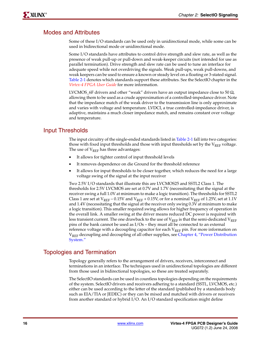#### <span id="page-15-0"></span>Modes and Attributes

Some of these I/O standards can be used only in unidirectional mode, while some can be used in bidirectional mode or unidirectional mode.

Some I/O standards have attributes to control drive strength and slew rate, as well as the presence of weak pull-up or pull-down and weak-keeper circuits (not intended for use as parallel termination). Drive strength and slew rate can be used to tune an interface for adequate speed while not overdriving the signals. Weak pull-ups, weak pull-downs, and weak keepers can be used to ensure a known or steady level on a floating or 3-stated signal. Table 2-1 denotes which standards support these attributes. See the SelectIO chapter in the *Virtex-4 FPGA User Guide* for more information.

LVCMOS\_6F drivers and other "weak" drivers have an output impedance close to 50  $\Omega$ , allowing them to be used as a crude approximation of a controlled-impedance driver. Note that the impedance match of the weak driver to the transmission line is only approximate and varies with voltage and temperature. LVDCI, a true controlled-impedance driver, is adaptive, maintains a much closer impedance match, and remains constant over voltage and temperature.

#### <span id="page-15-1"></span>Input Thresholds

The input circuitry of the single-ended standards listed in Table 2-1 fall into two categories: those with fixed input thresholds and those with input thresholds set by the  $V_{REF}$  voltage. The use of  $V_{REF}$  has three advantages:

- It allows for tighter control of input threshold levels
- It removes dependence on die Ground for the threshold reference
- It allows for input thresholds to be closer together, which reduces the need for a large voltage swing of the signal at the input receiver

Two 2.5V I/O standards that illustrate this are LVCMOS25 and SSTL2 Class 1. The thresholds for 2.5V LVCMOS are set at 0.7V and 1.7V (necessitating that the signal at the receiver swing a full 1.0V at minimum to make a logic transition). The thresholds for SSTL2 Class 1 are set at  $V_{REF}$  – 0.15V and  $V_{REF}$  + 0.15V, or for a nominal  $V_{REF}$  of 1.25V, set at 1.1V and 1.4V (necessitating that the signal at the receiver only swing 0.3V at minimum to make a logic transition). This smaller required swing allows for higher frequency of operation in the overall link. A smaller swing at the driver means reduced DC power is required with less transient current. The one drawback to the use of  $V_{REF}$  is that the semi-dedicated  $V_{REF}$ pins of the bank cannot be used as I/Os – they must all be connected to an external reference voltage with a decoupling capacitor for each  $V_{REF}$  pin. For more information on  $V<sub>REF</sub>$  decoupling and decoupling of all other supplies, see Chapter 4, "Power Distribution [System."](#page-28-2)

#### <span id="page-15-2"></span>Topologies and Termination

Topology generally refers to the arrangement of drivers, receivers, interconnect and terminations in an interface. The techniques used in unidirectional topologies are different from those used in bidirectional topologies, so these are treated separately.

The SelectIO standards can be used in countless topologies depending on the requirements of the system. SelectIO drivers and receivers adhering to a standard (SSTL, LVCMOS, etc.) either can be used according to the letter of the standard (published by a standards body such as EIA/TIA or JEDEC) or they can be mixed and matched with drivers or receivers from another standard or hybrid I/O. An I/O standard specification might define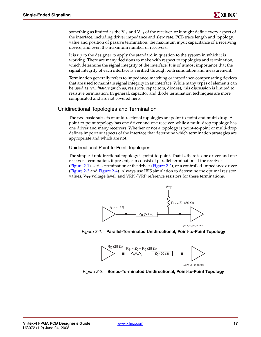

something as limited as the  $V_{IL}$  and  $V_{IH}$  of the receiver, or it might define every aspect of the interface, including driver impedance and slew rate, PCB trace length and topology, value and position of passive termination, the maximum input capacitance of a receiving device, and even the maximum number of receivers.

It is up to the designer to apply the standard in question to the system in which it is working. There are many decisions to make with respect to topologies and termination, which determine the signal integrity of the interface. It is of utmost importance that the signal integrity of each interface is verified through both simulation and measurement.

Termination generally refers to impedance-matching or impedance-compensating devices that are used to maintain signal integrity in an interface. While many types of elements can be used as *terminators* (such as, resistors, capacitors, diodes), this discussion is limited to resistive termination. In general, capacitor and diode termination techniques are more complicated and are not covered here.

#### <span id="page-16-0"></span>Unidirectional Topologies and Termination

The two basic subsets of unidirectional topologies are point-to-point and multi-drop. A point-to-point topology has one driver and one receiver, while a multi-drop topology has one driver and many receivers. Whether or not a topology is point-to-point or multi-drop defines important aspects of the interface that determine which termination strategies are appropriate and which are not.

#### <span id="page-16-2"></span>Unidirectional Point-to-Point Topologies

The simplest unidirectional topology is point-to-point. That is, there is one driver and one receiver. Termination, if present, can consist of parallel termination at the receiver (Figure 2-1), series termination at the driver [\(Figure 2-2\)](#page-16-1), or a controlled-impedance driver [\(Figure 2-3](#page-17-0) and [Figure 2-4](#page-17-1)). Always use IBIS simulation to determine the optimal resistor values,  $V_{TT}$  voltage level, and VRN/VRP reference resistors for these terminations.







<span id="page-16-1"></span>*Figure 2-2:* **Series-Terminated Unidirectional, Point-to-Point Topology**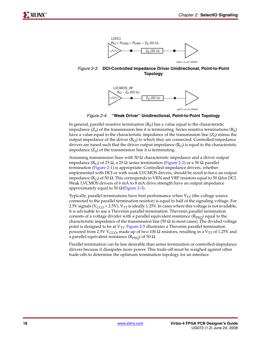

<span id="page-17-0"></span>*Figure 2-3:* **DCI-Controlled Impedance Driver Unidirectional, Point-to-Point Topology**



*Figure 2-4:* **"Weak Driver" Unidirectional, Point-to-Point Topology**

<span id="page-17-1"></span>In general, parallel resistive termination  $(R<sub>P</sub>)$  has a value equal to the characteristic impedance  $(Z_0)$  of the transmission line it is terminating. Series resistive terminations  $(R<sub>S</sub>)$ have a value equal to the characteristic impedance of the transmission line  $(Z_0)$  minus the output impedance of the driver  $(R<sub>O</sub>)$  to which they are connected. Controlled-impedance drivers are tuned such that the driver output impedance  $(R<sub>O</sub>)$  is equal to the characteristic impedance  $(Z_0)$  of the transmission line it is terminating.

Assuming transmission lines with 50  $\Omega$  characteristic impedance and a driver output impedance (R<sub>O</sub>) of 25 Ω, a 25 Ω series termination ([Figure 2-2](#page-16-1)) or a 50 Ω parallel termination (Figure 2-1) is appropriate. Controlled-impedance drivers, whether implemented with DCI or with weak LVCMOS drivers, should be sized to have an output impedance (R<sub>O</sub>) of 50 Ω. This corresponds to VRN and VRP resistors equal to 50 Ω for DCI. Weak LVCMOS drivers of 6 mA to 8 mA drive strength have an output impedance approximately equal to 50  $\Omega$ [\(Figure 2-3\)](#page-17-0).

Typically, parallel terminations have best performance when  $V_{TT}$  (the voltage source connected to the parallel termination resistor) is equal to half of the signaling voltage. For 2.5V signals ( $V_{CCO}$  = 2.5V),  $V_{TT}$  is ideally 1.25V. In cases where this voltage is not available, it is advisable to use a Thevenin parallel termination. Thevenin parallel termination consists of a voltage divider with a parallel equivalent resistance  $(R_{\text{PEO}})$  equal to the characteristic impedance of the transmission line (50  $\Omega$  in most cases). The divided voltage point is designed to be at  $V_{TT}$ . Figure 2-5 illustrates a Thevenin parallel termination powered from 2.5V V<sub>CCO</sub>, made up of two 100 Ω resistors, resulting in a V<sub>TT</sub> of 1.25V and a parallel equivalent resistance (R<sub>PEO</sub>) of 50 Ω.

Parallel termination can be less desirable than series termination or controlled-impedance drivers because it dissipates more power. This trade-off must be weighed against other trade-offs to determine the optimum termination topology for an interface.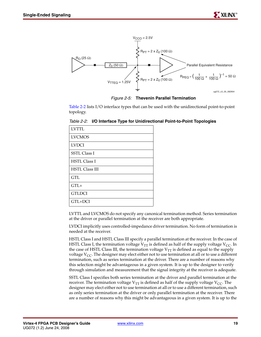



*Figure 2-5:* **Thevenin Parallel Termination** 

Table 2-2 lists I/O interface types that can be used with the unidirectional point-to-point topology.

|  |  |  |  | Table 2-2: I/O Interface Type for Unidirectional Point-to-Point Topologies |  |
|--|--|--|--|----------------------------------------------------------------------------|--|
|--|--|--|--|----------------------------------------------------------------------------|--|

| <b>LVTTL</b>          |
|-----------------------|
| <b>LVCMOS</b>         |
| <b>LVDCI</b>          |
| <b>SSTL Class I</b>   |
| <b>HSTL Class I</b>   |
| <b>HSTL Class III</b> |
| <b>GTL</b>            |
| $GTL+$                |
| <b>GTLDCI</b>         |
| GTL+DCI               |

LVTTL and LVCMOS do not specify any canonical termination method. Series termination at the driver or parallel termination at the receiver are both appropriate.

LVDCI implicitly uses controlled-impedance driver termination. No form of termination is needed at the receiver.

HSTL Class I and HSTL Class III specify a parallel termination at the receiver. In the case of HSTL Class I, the termination voltage  $V_{TT}$  is defined as half of the supply voltage  $V_{CC}$ . In the case of HSTL Class III, the termination voltage  $V_{TT}$  is defined as equal to the supply voltage  $V_{CC}$ . The designer may elect either not to use termination at all or to use a different termination, such as series termination at the driver. There are a number of reasons why this selection might be advantageous in a given system. It is up to the designer to verify through simulation and measurement that the signal integrity at the receiver is adequate.

SSTL Class I specifies both series termination at the driver and parallel termination at the receiver. The termination voltage  $V_{TT}$  is defined as half of the supply voltage  $V_{CC}$ . The designer may elect either not to use termination at all or to use a different termination, such as only series termination at the driver or only parallel termination at the receiver. There are a number of reasons why this might be advantageous in a given system. It is up to the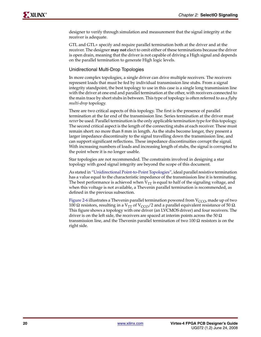designer to verify through simulation and measurement that the signal integrity at the receiver is adequate.

GTL and GTL+ specify and require parallel termination both at the driver and at the receiver. The designer **may not** elect to omit either of these terminations because the driver is open drain, meaning that the driver is not capable of driving a High signal and depends on the parallel termination to generate High logic levels.

#### Unidirectional Multi-Drop Topologies

In more complex topologies, a single driver can drive multiple receivers. The receivers represent loads that must be fed by individual transmission line stubs. From a signal integrity standpoint, the best topology to use in this case is a single long transmission line with the driver at one end and parallel termination at the other, with receivers connected to the main trace by short stubs in between. This type of topology is often referred to as a *flyby multi-drop* topology.

There are two critical aspects of this topology. The first is the presence of parallel termination at the far end of the transmission line. Series termination at the driver must *never* be used. Parallel termination is the only applicable termination type for this topology. The second critical aspect is the length of the connecting stubs at each receiver. These must remain short: no more than 8 mm in length. As the stubs become longer, they present a larger impedance discontinuity to the signal travelling down the transmission line, and can support significant reflections. These impedance discontinuities corrupt the signal. With increasing numbers of loads and increasing length of stubs, the signal is corrupted to the point where it is no longer usable.

Star topologies are not recommended. The constraints involved in designing a star topology with good signal integrity are beyond the scope of this document.

As stated in ["Unidirectional Point-to-Point Topologies",](#page-16-2) ideal parallel resistive termination has a value equal to the characteristic impedance of the transmission line it is terminating. The best performance is achieved when  $V_{TT}$  is equal to half of the signaling voltage, and when this voltage is not available, a Thevenin parallel termination is recommended, as defined in the previous subsection.

Figure 2-6 illustrates a Thevenin parallel termination powered from  $V_{CCO}$ , made up of two 100 Ω resistors, resulting in a V<sub>TT</sub> of V<sub>CCO</sub>/2 and a parallel equivalent resistance of 50 Ω. This figure shows a topology with one driver (an LVCMOS driver) and four receivers. The driver is on the left side, the receivers are spaced at interim points across the 50  $\Omega$ transmission line, and the Thevenin parallel termination of two 100  $Ω$  resistors is on the right side.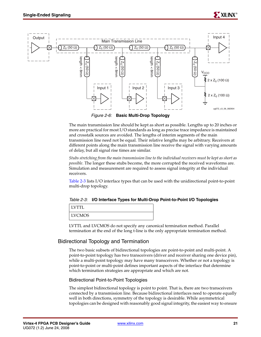



*Figure 2-6:* **Basic Multi-Drop Topology**

The main transmission line should be kept as short as possible. Lengths up to 20 inches or more are practical for most I/O standards as long as precise trace impedance is maintained and crosstalk sources are avoided. The lengths of interim segments of the main transmission line need not be equal. Their relative lengths may be arbitrary. Receivers at different points along the main transmission line receive the signal with varying amounts of delay, but all signal rise times are similar.

*Stubs stretching from the main transmission line to the individual receivers must be kept as short as possible*. The longer these stubs become, the more corrupted the received waveforms are. Simulation and measurement are required to assess signal integrity at the individual receivers.

Table 2-3 lists I/O interface types that can be used with the unidirectional point-to-point multi-drop topology.

|  | Table 2-3: I/O Interface Types for Multi-Drop Point-to-Point I/O Topologies |  |
|--|-----------------------------------------------------------------------------|--|
|  |                                                                             |  |

| LVTTL         |  |
|---------------|--|
| <b>LVCMOS</b> |  |

LVTTL and LVCMOS do not specify any canonical termination method. Parallel termination at the end of the long t-line is the only appropriate termination method.

#### <span id="page-20-0"></span>Bidirectional Topology and Termination

The two basic subsets of bidirectional topologies are point-to-point and multi-point. A point-to-point topology has two transceivers (driver and receiver sharing one device pin), while a multi-point topology may have many transceivers. Whether or not a topology is point-to-point or multi-point defines important aspects of the interface that determine which termination strategies are appropriate and which are not.

#### Bidirectional Point-to-Point Topologies

The simplest bidirectional topology is point to point. That is, there are two transceivers connected by a transmission line. Because bidirectional interfaces need to operate equally well in both directions, symmetry of the topology is desirable. While asymmetrical topologies can be designed with reasonably good signal integrity, the easiest way to ensure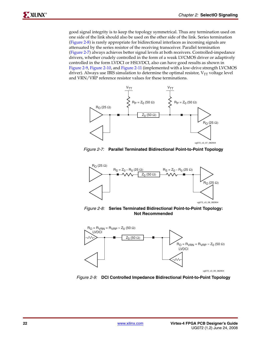good signal integrity is to keep the topology symmetrical. Thus any termination used on one side of the link should also be used on the other side of the link. Series termination [\(Figure 2-8\)](#page-21-0) is rarely appropriate for bidirectional interfaces as incoming signals are attenuated by the series resistor of the receiving transceiver. Parallel termination [\(Figure 2-7\)](#page-21-1) always achieves better signal levels at both receivers. Controlled-impedance drivers, whether crudely controlled in the form of a weak LVCMOS driver or adaptively controlled in the form LVDCI or HSLVDCI, also can have good results as shown in [Figure 2-9](#page-21-2), [Figure 2-10,](#page-22-0) and Figure 2-11 (implemented with a low-drive strength LVCMOS driver). Always use IBIS simulation to determine the optimal resistor,  $V_{TT}$  voltage level and VRN/VRP reference resistor values for these terminations.



<span id="page-21-1"></span>*Figure 2-7:* **Parallel Terminated Bidirectional Point-to-Point Topology**



<span id="page-21-0"></span>*Figure 2-8:* **Series Terminated Bidirectional Point-to-Point Topology: Not Recommended**



<span id="page-21-2"></span>*Figure 2-9:* **DCI Controlled Impedance Bidirectional Point-to-Point Topology**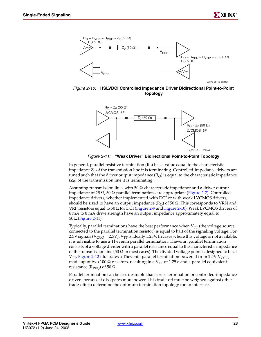



<span id="page-22-0"></span>*Figure 2-10:* **HSLVDCI Controlled Impedance Driver Bidirectional Point-to-Point Topology**



*Figure 2-11:* **"Weak Driver" Bidirectional Point-to-Point Topology**

In general, parallel resistive termination  $(R_P)$  has a value equal to the characteristic impedance  $Z_0$  of the transmission line it is terminating. Controlled-impedance drivers are tuned such that the driver output impedance  $(R<sub>O</sub>)$  is equal to the characteristic impedance  $(Z_0)$  of the transmission line it is terminating.

Assuming transmission lines with 50  $\Omega$  characteristic impedance and a driver output impedance of 25 Ω, 50 Ω parallel terminations are appropriate ([Figure 2-7](#page-21-1)). Controlledimpedance drivers, whether implemented with DCI or with weak LVCMOS drivers, should be sized to have an output impedance (R<sub>O</sub>) of 50 Ω. This corresponds to VRN and VRP resistors equal to 50 Ωfor DCI ([Figure 2-9](#page-21-2) and [Figure 2-10\)](#page-22-0). Weak LVCMOS drivers of 6 mA to 8 mA drive strength have an output impedance approximately equal to 50  $\Omega$  (Figure 2-11).

Typically, parallel terminations have the best performance when  $V_{TT}$  (the voltage source connected to the parallel termination resistor) is equal to half of the signaling voltage. For 2.5V signals ( $V_{\text{CCO}}$  = 2.5V),  $V_{\text{TT}}$  is ideally 1.25V. In cases where this voltage is not available, it is advisable to use a Thevenin parallel termination. Thevenin parallel termination consists of a voltage divider with a parallel resistance equal to the characteristic impedance of the transmission line (50  $\Omega$  in most cases). The divided voltage point is designed to be at  $V_{TT}$ . [Figure 2-12](#page-23-0) illustrates a Thevenin parallel termination powered from 2.5V V<sub>CCO</sub>, made up of two 100  $\Omega$  resistors, resulting in a V<sub>TT</sub> of 1.25V and a parallel equivalent resistance (R<sub>PEΩ</sub>) of 50 Ω.

Parallel termination can be less desirable than series termination or controlled-impedance drivers because it dissipates more power. This trade-off must be weighed against other trade-offs to determine the optimum termination topology for an interface.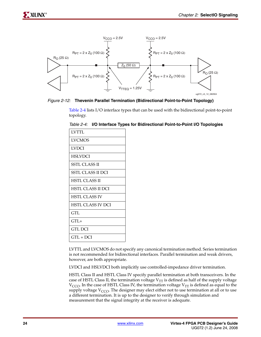

#### <span id="page-23-0"></span>*Figure 2-12:* **Thevenin Parallel Termination (Bidirectional Point-to-Point Topology)**

[Table 2-4](#page-23-1) lists I/O interface types that can be used with the bidirectional point-to-point topology.

<span id="page-23-1"></span>

|  |  | Table 2-4: I/O Interface Types for Bidirectional Point-to-Point I/O Topologies |  |
|--|--|--------------------------------------------------------------------------------|--|
|  |  |                                                                                |  |

LVTTL and LVCMOS do not specify any canonical termination method. Series termination is not recommended for bidirectional interfaces. Parallel termination and weak drivers, however, are both appropriate.

LVDCI and HSLVDCI both implicitly use controlled-impedance driver termination.

HSTL Class II and HSTL Class IV specify parallel termination at both transceivers. In the case of HSTL Class II, the termination voltage  $V_{TT}$  is defined as half of the supply voltage  $V_{\text{CCO}}$ . In the case of HSTL Class IV, the termination voltage  $V_{\text{TT}}$  is defined as equal to the supply voltage  $V_{CCO}$ . The designer may elect either not to use termination at all or to use a different termination. It is up to the designer to verify through simulation and measurement that the signal integrity at the receiver is adequate.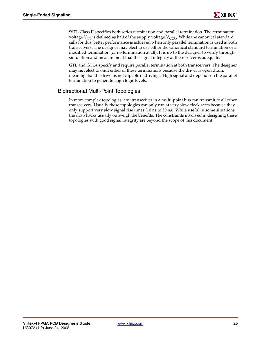

SSTL Class II specifies both series termination and parallel termination. The termination voltage  $V_{TT}$  is defined as half of the supply voltage  $V_{CCO}$ . While the canonical standard calls for this, better performance is achieved when only parallel termination is used at both transceivers. The designer may elect to use either the canonical standard termination or a modified termination (or no termination at all). It is up to the designer to verify through simulation and measurement that the signal integrity at the receiver is adequate.

GTL and GTL+ specify and require parallel termination at both transceivers. The designer **may not** elect to omit either of these terminations because the driver is open drain, meaning that the driver is not capable of driving a High signal and depends on the parallel termination to generate High logic levels.

#### <span id="page-24-0"></span>Bidirectional Multi-Point Topologies

In more complex topologies, any transceiver in a multi-point bus can transmit to all other transceivers. Usually these topologies can only run at very slow clock rates because they only support very slow signal rise times (10 ns to 50 ns). While useful in some situations, the drawbacks usually outweigh the benefits. The constraints involved in designing these topologies with good signal integrity are beyond the scope of this document.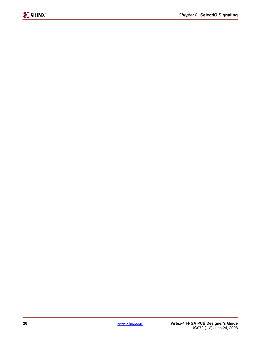

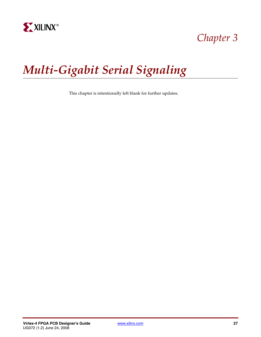

# *Chapter 3*

# <span id="page-26-1"></span><span id="page-26-0"></span>*Multi-Gigabit Serial Signaling*

This chapter is intentionally left blank for further updates.

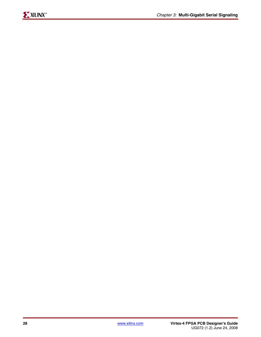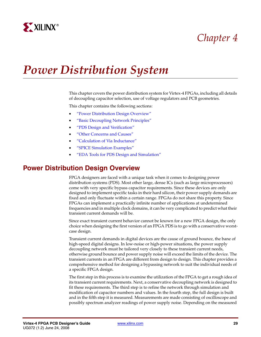

# *Chapter 4*

# <span id="page-28-2"></span><span id="page-28-0"></span>*Power Distribution System*

This chapter covers the power distribution system for Virtex-4 FPGAs, including all details of decoupling capacitor selection, use of voltage regulators and PCB geometries.

This chapter contains the following sections:

- ["Power Distribution Design Overview"](#page-28-1)
- ["Basic Decoupling Network Principles"](#page-29-0)
- ["PDS Design and Verification"](#page-41-0)
- ["Other Concerns and Causes"](#page-49-0)
- ["Calculation of Via Inductance"](#page-51-0)
- ["SPICE Simulation Examples"](#page-51-1)
- ["EDA Tools for PDS Design and Simulation"](#page-53-1)

### <span id="page-28-1"></span>**Power Distribution Design Overview**

FPGA designers are faced with a unique task when it comes to designing power distribution systems (PDS). Most other large, dense ICs (such as large microprocessors) come with very specific bypass capacitor requirements. Since these devices are only designed to implement specific tasks in their hard silicon, their power supply demands are fixed and only fluctuate within a certain range. FPGAs do not share this property. Since FPGAs can implement a practically infinite number of applications at undetermined frequencies and in multiple clock domains, it can be very complicated to predict what their transient current demands will be.

Since exact transient current behavior cannot be known for a new FPGA design, the only choice when designing the first version of an FPGA PDS is to go with a conservative worstcase design.

Transient current demands in digital devices are the cause of ground bounce, the bane of high-speed digital designs. In low-noise or high-power situations, the power supply decoupling network must be tailored very closely to these transient current needs, otherwise ground bounce and power supply noise will exceed the limits of the device. The transient currents in an FPGA are different from design to design. This chapter provides a comprehensive method for designing a bypassing network to suit the individual needs of a specific FPGA design.

The first step in this process is to examine the utilization of the FPGA to get a rough idea of its transient current requirements. Next, a conservative decoupling network is designed to fit these requirements. The third step is to refine the network through simulation and modification of capacitor numbers and values. In the fourth step, the full design is built and in the fifth step it is measured. Measurements are made consisting of oscilloscope and possibly spectrum analyzer readings of power supply noise. Depending on the measured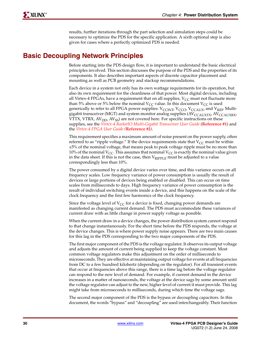results, further iterations through the part selection and simulation steps could be necessary to optimize the PDS for the specific application. A sixth optional step is also given for cases where a perfectly optimized PDS is needed.

## <span id="page-29-0"></span>**Basic Decoupling Network Principles**

Before starting into the PDS design flow, it is important to understand the basic electrical principles involved. This section discusses the purpose of the PDS and the properties of its components. It also describes important aspects of discrete capacitor placement and mounting as well as PCB geometry and stackup recommendations.

Each device in a system not only has its own wattage requirements for its operation, but also its own requirement for the cleanliness of that power. Most digital devices, including all Virtex-4 FPGAs, have a requirement that on all supplies,  $V_{CC}$  must not fluctuate more than 5% above or 5% below the nominal  $V_{CC}$  value. In this document  $V_{CC}$  is used generically to refer to all FPGA power supplies:  $V_{\text{CCINT}}$ ,  $V_{\text{CCO}}$ ,  $V_{\text{CCAUX}}$ , and  $V_{\text{REF}}$  Multigigabit transceiver (MGT) and system monitor analog supplies (AV<sub>CCAUXTX</sub>, AV<sub>CCAUXRX</sub>, VTTX, VTRX,  $AV_{DD}$ ,  $AV_{SS}$ ) are not covered here. For specific instructions on these supplies, see the *Virtex-4 RocketIO Multi-Gigabit Transceiver User Guide* (**[Reference #1](#page-54-2)**) and the *Virtex-4 FPGA User Guide (***[Reference #2](#page-54-3)***)*.

This requirement specifies a maximum amount of noise present on the power supply, often referred to as "ripple voltage." If the device requirements state that  $V_{CC}$  must be within ±5% of the nominal voltage, that means peak to peak voltage ripple must be no more than 10% of the nominal  $V_{CC}$ . This assumes that nominal  $V_{CC}$  is exactly the nominal value given in the data sheet. If this is not the case, then  $V_{RIPPLE}$  must be adjusted to a value correspondingly less than 10%.

The power consumed by a digital device varies over time, and this variance occurs on all frequency scales. Low frequency variance of power consumption is usually the result of devices or large portions of devices being enabled or disabled. This can occur on time scales from milliseconds to days. High frequency variance of power consumption is the result of individual switching events inside a device, and this happens on the scale of the clock frequency and the first few harmonics of the clock frequency.

Since the voltage level of  $V_{CC}$  for a device is fixed, changing power demands are manifested as changing current demand. The PDS must accommodate these variances of current draw with as little change in power supply voltage as possible.

When the current draw in a device changes, the power distribution system cannot respond to that change instantaneously. For the short time before the PDS responds, the voltage at the device changes. This is where power supply noise appears. There are two main causes for this lag in the PDS corresponding to the two major components of the PDS.

The first major component of the PDS is the voltage regulator. It observes its output voltage and adjusts the amount of current being supplied to keep the voltage constant. Most common voltage regulators make this adjustment on the order of milliseconds to microseconds. They are effective at maintaining output voltage for events at all frequencies from DC to a few hundred kilohertz (depending on the regulator). For all transient events that occur at frequencies above this range, there is a time lag before the voltage regulator can respond to the new level of demand. For example, if current demand in the device increases in a matter of nanoseconds, the voltage at the device sags by some amount until the voltage regulator can adjust to the new, higher level of current it must provide. This lag might take from microseconds to milliseconds, during which time the voltage sags.

The second major component of the PDS is the bypass or decoupling capacitors. In this document, the words "bypass" and "decoupling" are used interchangeably. Their function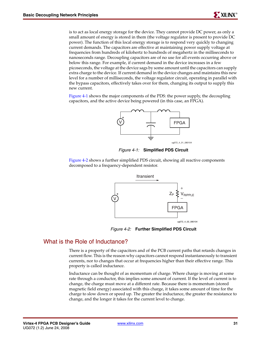

is to act as local energy storage for the device. They cannot provide DC power, as only a small amount of energy is stored in them (the voltage regulator is present to provide DC power). The function of this local energy storage is to respond very quickly to changing current demands. The capacitors are effective at maintaining power supply voltage at frequencies from hundreds of kilohertz to hundreds of megahertz in the milliseconds to nanoseconds range. Decoupling capacitors are of no use for all events occurring above or below this range. For example, if current demand in the device increases in a few picoseconds, the voltage at the device sags by some amount until the capacitors can supply extra charge to the device. If current demand in the device changes and maintains this new level for a number of milliseconds, the voltage regulator circuit, operating in parallel with the bypass capacitors, effectively takes over for them, changing its output to supply this new current.

Figure 4-1 shows the major components of the PDS: the power supply, the decoupling capacitors, and the active device being powered (in this case, an FPGA).



*Figure 4-1:* **Simplified PDS Circuit**

Figure 4-2 shows a further simplified PDS circuit, showing all reactive components decomposed to a frequency-dependent resistor.



*Figure 4-2:* **Further Simplified PDS Circuit**

#### <span id="page-30-0"></span>What is the Role of Inductance?

There is a property of the capacitors and of the PCB current paths that retards changes in current flow. This is the reason why capacitors cannot respond instantaneously to transient currents, nor to changes that occur at frequencies higher than their effective range. This property is called inductance.

Inductance can be thought of as momentum of charge. Where charge is moving at some rate through a conductor, this implies some amount of current. If the level of current is to change, the charge must move at a different rate. Because there is momentum (stored magnetic field energy) associated with this charge, it takes some amount of time for the charge to slow down or speed up. The greater the inductance, the greater the resistance to change, and the longer it takes for the current level to change.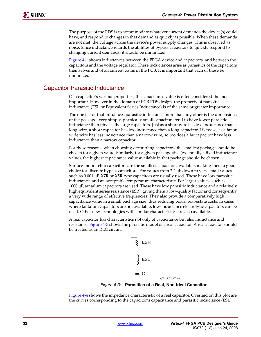The purpose of the PDS is to accommodate whatever current demands the device(s) could have, and respond to changes in that demand as quickly as possible. When these demands are not met, the voltage across the device's power supply changes. This is observed as noise. Since inductance retards the abilities of bypass capacitors to quickly respond to changing current demands, it should be minimized.

Figure 4-1 shows inductances between the FPGA device and capacitors, and between the capacitors and the voltage regulator. These inductances arise as parasitics of the capacitors themselves and of all current paths in the PCB. It is important that each of these be minimized.

### <span id="page-31-0"></span>Capacitor Parasitic Inductance

Of a capacitor's various properties, the capacitance value is often considered the most important. However in the domain of PCB PDS design, the property of parasitic inductance (ESL or Equivalent Series Inductance) is of the same or greater importance.

The one factor that influences parasitic inductance more than any other is the dimensions of the package. Very simply, physically small capacitors tend to have lower parasitic inductance than physically large capacitors. Just as a short wire has less inductance than a long wire, a short capacitor has less inductance than a long capacitor. Likewise, as a fat or wide wire has less inductance than a narrow wire, so too does a fat capacitor have less inductance than a narrow capacitor.

For these reasons, when choosing decoupling capacitors, the smallest package should be chosen for a given value. Similarly, for a given package size (essentially a fixed inductance value), the highest capacitance value available in that package should be chosen.

Surface-mount chip capacitors are the smallest capacitors available, making them a good choice for discrete bypass capacitors. For values from 2.2 μF down to very small values such as 0.001 μF, X7R or X5R type capacitors are usually used. These have low parasitic inductance, and an acceptable temperature characteristic. For larger values, such as 1000 μF, tantalum capacitors are used. These have low parasitic inductance and a relatively high equivalent series resistance (ESR), giving them a low-quality factor and consequently a very wide range of effective frequencies. They also provide a comparatively high capacitance value in a small package size, thus reducing board real-estate costs. In cases where tantalum capacitors are not available, low-inductance electrolytic capacitors can be used. Other new technologies with similar characteristics are also available.

A real capacitor has characteristics not only of capacitance but also inductance and resistance. Figure 4-3 shows the parasitic model of a real capacitor. A real capacitor should be treated as an RLC circuit.



*Figure 4-3:* **Parasitics of a Real, Non-Ideal Capacitor**

Figure 4-4 shows the impedance characteristic of a real capacitor. Overlaid on this plot are the curves corresponding to the capacitor's capacitance and parasitic inductance (ESL).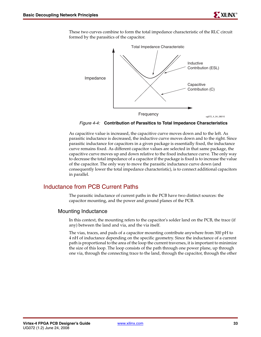



These two curves combine to form the total impedance characteristic of the RLC circuit formed by the parasitics of the capacitor.

*Figure 4-4:* **Contribution of Parasitics to Total Impedance Characteristics**

As capacitive value is increased, the capacitive curve moves down and to the left. As parasitic inductance is decreased, the inductive curve moves down and to the right. Since parasitic inductance for capacitors in a given package is essentially fixed, the inductance curve remains fixed. As different capacitor values are selected in that same package, the capacitive curve moves up and down relative to the fixed inductance curve. The only way to decrease the total impedance of a capacitor if the package is fixed is to increase the value of the capacitor. The only way to move the parasitic inductance curve down (and consequently lower the total impedance characteristic), is to connect additional capacitors in parallel.

## <span id="page-32-1"></span><span id="page-32-0"></span>Inductance from PCB Current Paths

The parasitic inductance of current paths in the PCB have two distinct sources: the capacitor mounting, and the power and ground planes of the PCB.

### Mounting Inductance

In this context, the mounting refers to the capacitor's solder land on the PCB, the trace (if any) between the land and via, and the via itself.

The vias, traces, and pads of a capacitor mounting contribute anywhere from 300 pH to 4 nH of inductance depending on the specific geometry. Since the inductance of a current path is proportional to the area of the loop the current traverses, it is important to minimize the size of this loop. The loop consists of the path through one power plane, up through one via, through the connecting trace to the land, through the capacitor, through the other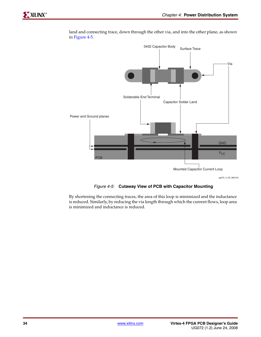

land and connecting trace, down through the other via, and into the other plane, as shown in Figure 4-5.

*Figure 4-5:* **Cutaway View of PCB with Capacitor Mounting**

By shortening the connecting traces, the area of this loop is minimized and the inductance is reduced. Similarly, by reducing the via length through which the current flows, loop area is minimized and inductance is reduced.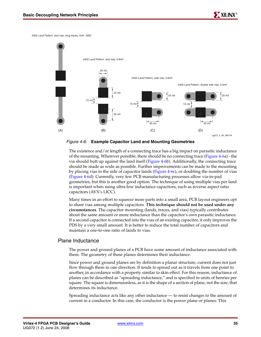

0402 Land Pattern, end vias, long traces, 4nH - BAD



*Figure 4-6:* **Example Capacitor Land and Mounting Geometries**

The existence and/or length of a connecting trace has a big impact on parasitic inductance of the mounting. Wherever possible, there should be no connecting trace (Figure 4-6a) - the via should butt up against the land itself (Figure 4-6b). Additionally, the connecting trace should be made as wide as possible. Further improvements can be made to the mounting by placing vias to the side of capacitor lands (Figure 4-6c), or doubling the number of vias (Figure 4-6d). Currently, very few PCB manufacturing processes allow via-in-pad geometries, but this is another good option. The technique of using multiple vias per land is important when using ultra-low inductance capacitors, such as reverse aspect ratio capacitors (AVX's LICC).

Many times in an effort to squeeze more parts into a small area, PCB layout engineers opt to share vias among multiple capacitors. **This technique should not be used under any circumstances**. The capacitor mounting (lands, traces, and vias) typically contributes about the same amount or more inductance than the capacitor's own parasitic inductance. If a second capacitor is connected into the vias of an existing capacitor, it only improves the PDS by a very small amount. It is better to reduce the total number of capacitors and maintain a one-to-one ratio of lands to vias.

#### <span id="page-34-0"></span>Plane Inductance

The power and ground planes of a PCB have some amount of inductance associated with them. The geometry of these planes determines their inductance.

Since power and ground planes are by definition a planar structure, current does not just flow through them in one direction. It tends to spread out as it travels from one point to another, in accordance with a property similar to skin effect. For this reason, inductance of planes can be described as "spreading inductance," and is specified in units of henries per square. The square is dimensionless, as it is the shape of a section of plane, not the size, that determines its inductance.

Spreading inductance acts like any other inductance — to resist changes to the amount of current in a conductor. In this case, the conductor is the power plane or planes. This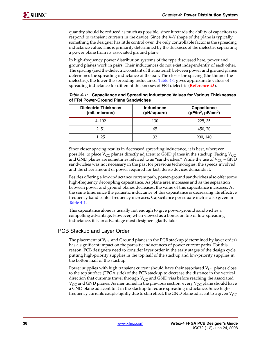quantity should be reduced as much as possible, since it retards the ability of capacitors to respond to transient currents in the device. Since the X-Y shape of the plane is typically something the designer has little control over, the only controllable factor is the spreading inductance value. This is primarily determined by the thickness of the dielectric separating a power plane from its associated ground plane.

In high-frequency power distribution systems of the type discussed here, power and ground planes work in pairs. Their inductances do not exist independently of each other. The spacing (and the dielectric constant of the material) between power and ground planes determines the spreading inductance of the pair. The closer the spacing (the thinner the dielectric), the lower the spreading inductance. Table 4-1 gives approximate values of spreading inductance for different thicknesses of FR4 dielectric (**[Reference #3](#page-54-4)**).

| <b>Dielectric Thickness</b><br>(mil, microns) | Inductance<br>(pH/square) | Capacitance<br>$(pF/in2, pF/cm2)$ |
|-----------------------------------------------|---------------------------|-----------------------------------|
| 4, 102                                        | 130                       | 225, 35                           |
| 2,51                                          | 65                        | 450, 70                           |
| 1, 25                                         | 32                        | 900, 140                          |

*Table 4-1:* **Capacitance and Spreading Inductance Values for Various Thicknesses of FR4 Power-Ground Plane Sandwiches**

Since closer spacing results in decreased spreading inductance, it is best, wherever possible, to place  $V_{CC}$  planes directly adjacent to GND planes in the stackup. Facing  $V_{CC}$ and GND planes are sometimes referred to as "sandwiches." While the use of  $V_{CC}$  – GND sandwiches was not necessary in the past for previous technologies, the speeds involved and the sheer amount of power required for fast, dense devices demands it.

Besides offering a low-inductance current path, power-ground sandwiches also offer some high-frequency decoupling capacitance. As plane area increases and as the separation between power and ground planes decreases, the value of this capacitance increases. At the same time, since the parasitic inductance of this capacitance is decreasing, its effective frequency band center frequency increases. Capacitance per square inch is also given in Table 4-1.

This capacitance alone is usually not enough to give power-ground sandwiches a compelling advantage. However, when viewed as a bonus on top of low spreading inductance, it is an advantage most designers gladly take.

#### <span id="page-35-0"></span>PCB Stackup and Layer Order

The placement of  $V_{CC}$  and Ground planes in the PCB stackup (determined by layer order) has a significant impact on the parasitic inductances of power current paths. For this reason, PCB designers need to consider layer order in the early stages of the design cycle, putting high-priority supplies in the top half of the stackup and low-priority supplies in the bottom half of the stackup.

Power supplies with high transient current should have their associated  $V_{CC}$  planes close to the top surface (FPGA side) of the PCB stackup to decrease the distance in the vertical direction that currents travel through  $V_{CC}$  and GND vias before reaching the associated  $V_{CC}$  and GND planes. As mentioned in the previous section, every  $V_{CC}$  plane should have a GND plane adjacent to it in the stackup to reduce spreading inductance. Since highfrequency currents couple tightly due to skin effect, the GND plane adjacent to a given  $V_{CC}$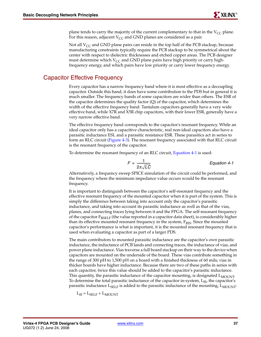

plane tends to carry the majority of the current complementary to that in the  $V_{CC}$  plane. For this reason, adjacent  $V_{CC}$  and GND planes are considered as a pair.

Not all  $V_{CC}$  and GND plane pairs can reside in the top half of the PCB stackup, because manufacturing constraints typically require the PCB stackup to be symmetrical about the center with respect to dielectric thicknesses and etched copper areas. The PCB designer must determine which  $V_{CC}$  and GND plane pairs have high priority or carry highfrequency energy, and which pairs have low priority or carry lower frequency energy.

### <span id="page-36-0"></span>Capacitor Effective Frequency

Every capacitor has a narrow frequency band where it is most effective as a decoupling capacitor. Outside this band, it does have some contribution to the PDS but in general it is much smaller. The frequency bands of some capacitors are wider than others. The ESR of the capacitor determines the quality factor (Q) of the capacitor, which determines the width of the effective frequency band. Tantalum capacitors generally have a very wide effective band, while X7R and X5R chip capacitors, with their lower ESR, generally have a very narrow effective band.

The effective frequency band corresponds to the capacitor's resonant frequency. While an ideal capacitor only has a capacitive characteristic, real non-ideal capacitors also have a parasitic inductance ESL and a parasitic resistance ESR. These parasitics act in series to form an RLC circuit (Figure 4-3). The resonant frequency associated with that RLC circuit is the resonant frequency of the capacitor.

<span id="page-36-1"></span>To determine the resonant frequency of an RLC circuit, [Equation 4-1](#page-36-1) is used:

$$
F = \frac{1}{2\pi\sqrt{LC}}
$$
 Equation 4-1

Alternatively, a frequency sweep SPICE simulation of the circuit could be performed, and the frequency where the minimum impedance value occurs would be the resonant frequency.

It is important to distinguish between the capacitor's self-resonant frequency and the effective resonant frequency of the mounted capacitor when it is part of the system. This is simply the difference between taking into account only the capacitor's parasitic inductance, and taking into account its parasitic inductance as well as that of the vias, planes, and connecting traces lying between it and the FPGA. The self-resonant frequency of the capacitor  $F_{RSELF}$  (the value reported in a capacitor data sheet), is considerably higher than its effective mounted resonant frequency in the system,  $F_{RIS}$ . Since the mounted capacitor's performance is what is important, it is the mounted resonant frequency that is used when evaluating a capacitor as part of a larger PDS.

The main contributors to mounted parasitic inductance are the capacitor's own parasitic inductance, the inductance of PCB lands and connecting traces, the inductance of vias, and power plane inductance. Vias traverse a full board stackup on their way to the device when capacitors are mounted on the underside of the board. These vias contribute something in the range of 300 pH to 1,500 pH on a board with a finished thickness of 60 mils; vias in thicker boards have higher inductance. Because there are two of these paths in series with each capacitor, twice this value should be added to the capacitor's parasitic inductance. This quantity, the parasitic inductance of the capacitor mounting, is designated  $L_{MOLNT}$ . To determine the total parasitic inductance of the capacitor in-system,  $L_{IS}$ , the capacitor's parasitic inductance  $L_{\text{SELF}}$  is added to the parasitic inductance of the mounting,  $L_{\text{MOUNT}}$ :

$$
L_{IS} = L_{SELF} + L_{MOUNT}
$$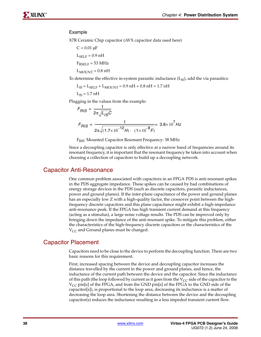#### Example

X7R Ceramic Chip capacitor (AVX capacitor data used here)

 $C = 0.01 \mu F$  $L_{\text{SELE}} = 0.9 \text{ nH}$  $F_{RSELF}$  = 53 MHz  $L_{MOLINT}$  = 0.8 nH

To determine the effective in-system parasitic inductance  $(L_{IS})$ , add the via parasitics:

 $L_{IS} = L_{SELF} + L_{MOLNT} = 0.9 \text{ nH} + 0.8 \text{ nH} = 1.7 \text{ nH}$  $L<sub>IS</sub> = 1.7$  nH

Plugging in the values from the example:

$$
F_{RIS} = \frac{1}{2\pi \sqrt{L_{IS}C}}
$$
  

$$
F_{RIS} = \frac{1}{2\pi \sqrt{(1.7 \times 10^{-12} H) \cdot (1 \times 10^{-8} F)}} = 3.8 \times 10^7 Hz
$$

FRIS: Mounted Capacitor Resonant Frequency: 38 MHz

Since a decoupling capacitor is only effective at a narrow band of frequencies around its resonant frequency, it is important that the resonant frequency be taken into account when choosing a collection of capacitors to build up a decoupling network.

#### <span id="page-37-0"></span>Capacitor Anti-Resonance

One common problem associated with capacitors in an FPGA PDS is anti-resonant spikes in the PDS aggregate impedance. These spikes can be caused by bad combinations of energy storage devices in the PDS (such as discrete capacitors, parasitic inductances, power and ground planes). If the inter-plane capacitance of the power and ground planes has an especially low Z with a high-quality factor, the crossover point between the highfrequency discrete capacitors and this plane capacitance might exhibit a high-impedance anti-resonance peak. If the FPGA has high transient current demand at this frequency (acting as a stimulus), a large noise voltage results. The PDS can be improved only by bringing down the impedance of the anti-resonant spike. To mitigate this problem, either the characteristics of the high-frequency discrete capacitors or the characteristics of the  $V_{CC}$  and Ground planes must be changed.

#### <span id="page-37-1"></span>Capacitor Placement

Capacitors need to be close to the device to perform the decoupling function. There are two basic reasons for this requirement.

First, increased spacing between the device and decoupling capacitor increases the distance travelled by the current in the power and ground planes, and hence, the inductance of the current path between the device and the capacitor. Since the inductance of this path (the loop followed by current as it goes from the  $V_{CC}$  side of the capacitor to the  $V_{CC}$  pin[s] of the FPGA, and from the GND pin[s] of the FPGA to the GND side of the capacitor[s]), is proportional to the loop area, decreasing its inductance is a matter of decreasing the loop area. Shortening the distance between the device and the decoupling capacitor(s) reduces the inductance resulting in a less impeded transient current flow.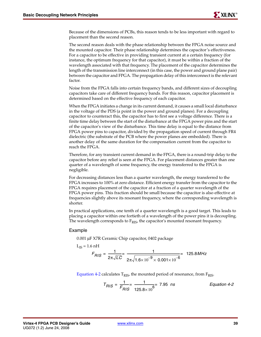

Because of the dimensions of PCBs, this reason tends to be less important with regard to placement than the second reason.

The second reason deals with the phase relationship between the FPGA noise source and the mounted capacitor. Their phase relationship determines the capacitor's effectiveness. For a capacitor to be effective in providing transient current at a certain frequency (for instance, the optimum frequency for that capacitor), it must be within a fraction of the wavelength associated with that frequency. The placement of the capacitor determines the length of the transmission line interconnect (in this case, the power and ground plane pair) between the capacitor and FPGA. The propagation delay of this interconnect is the relevant factor.

Noise from the FPGA falls into certain frequency bands, and different sizes of decoupling capacitors take care of different frequency bands. For this reason, capacitor placement is determined based on the effective frequency of each capacitor.

When the FPGA initiates a change in its current demand, it causes a small local disturbance in the voltage of the PDS (a point in the power and ground planes). For a decoupling capacitor to counteract this, the capacitor has to first see a voltage difference. There is a finite time delay between the start of the disturbance at the FPGA power pins and the start of the capacitor's view of the disturbance. This time delay is equal to the distance from FPGA power pins to capacitor, divided by the propagation speed of current through FR4 dielectric (the substrate of the PCB where the power planes are embedded). There is another delay of the same duration for the compensation current from the capacitor to reach the FPGA.

Therefore, for any transient current demand in the FPGA, there is a round-trip delay to the capacitor before any relief is seen at the FPGA. For placement distances greater than one quarter of a wavelength of some frequency, the energy transferred to the FPGA is negligible.

For decreasing distances less than a quarter wavelength, the energy transferred to the FPGA increases to 100% at zero distance. Efficient energy transfer from the capacitor to the FPGA requires placement of the capacitor at a fraction of a quarter wavelength of the FPGA power pins. This fraction should be small because the capacitor is also effective at frequencies slightly above its resonant frequency, where the corresponding wavelength is shorter.

In practical applications, one tenth of a quarter wavelength is a good target. This leads to placing a capacitor within one fortieth of a wavelength of the power pins it is decoupling. The wavelength corresponds to  $F_{RIS}$ , the capacitor's mounted resonant frequency.

#### Example

0.001 μF X7R Ceramic Chip capacitor, 0402 package

$$
L_{IS} = 1.6 \text{ nH}
$$

$$
F_{RIS} = \frac{1}{2\pi\sqrt{LC}} = \frac{1}{2\pi\sqrt{1.6 \times 10^{-9} \times 0.001 \times 10^{-6}}} = 125.8 MHz
$$

<span id="page-38-0"></span>[Equation 4-2](#page-38-0) calculates  $T_{RIS}$ , the mounted period of resonance, from  $F_{RIS}$ .

$$
T_{RIS} = \frac{1}{F_{RIS}} = \frac{1}{125.8 \times 10^6} = 7.95 \text{ ns}
$$
 *Equation 4-2*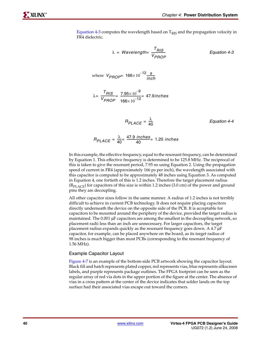*Equation 4-4*

<span id="page-39-0"></span>[Equation 4-3](#page-39-0) computes the wavelength based on  $T_{RIS}$  and the propagation velocity in FR4 dielectric.

$$
\lambda = \text{Wavelength} = \frac{T_{RIS}}{V_{PROP}} \quad \text{Equation 4-3}
$$

where 
$$
V_{PROP} = 166 \times 10^{-12} \frac{s}{inch}
$$

$$
\lambda = \frac{T_{RIS}}{V_{PROP}} = \frac{7.95 \times 10^{-9}}{166 \times 10^{-12}} = 47.9 \text{ inches}
$$

$$
R_{PLACE} = \frac{\lambda}{40}
$$
 Equation

$$
R_{PLACE} = \frac{\lambda}{40} = \frac{47.9 \text{ inches}}{40} = 1.20 \text{ inches}
$$

In this example, the effective frequency, equal to the resonant frequency, can be determined by Equation 1. This effective frequency is determined to be 125.8 MHz. The reciprocal of this is taken to give the resonant period, 7.95 ns using Equation 2. Using the propagation speed of current in FR4 (approximately 166 ps per inch), the wavelength associated with this capacitor is computed to be approximately 48 inches using Equation 3. As computed in Equation 4, one fortieth of this is 1.2 inches. Therefore the target placement radius  $(R_{\text{PLACE}})$  for capacitors of this size is within 1.2 inches (3.0 cm) of the power and ground pins they are decoupling.

All other capacitor sizes follow in the same manner. A radius of 1.2 inches is not terribly difficult to achieve in current PCB technology. It does not require placing capacitors directly underneath the device on the opposite side of the PCB. It is acceptable for capacitors to be mounted around the periphery of the device, provided the target radius is maintained. The 0.001 μF capacitors are among the smallest in the decoupling network, so placement radii less than an inch are unnecessary. For larger capacitors, the target placement radius expands quickly as the resonant frequency goes down. A 4.7 μF capacitor, for example, can be placed anywhere on the board, as its target radius of 98 inches is much bigger than most PCBs (corresponding to the resonant frequency of 1.56 MHz).

#### Example Capacitor Layout

Figure 4-7 is an example of the bottom-side PCB artwork showing the capacitor layout. Black fill and hatch represents plated copper, red represents vias, blue represents silkscreen labels, and purple represents package outlines. The FPGA footprint can be seen as the regular array of red via dots in the upper portion of the figure at the center. The absence of vias in a cross pattern at the center of the device indicates that solder lands on the top surface had their associated vias escape out toward the corners.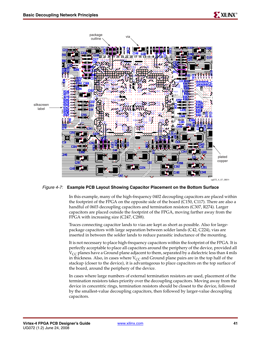

#### *Figure 4-7:* **Example PCB Layout Showing Capacitor Placement on the Bottom Surface**

In this example, many of the high-frequency 0402 decoupling capacitors are placed within the footprint of the FPGA on the opposite side of the board (C150, C117). There are also a handful of 0603 decoupling capacitors and termination resistors (C307, R274). Larger capacitors are placed outside the footprint of the FPGA, moving farther away from the FPGA with increasing size (C247, C288).

Traces connecting capacitor lands to vias are kept as short as possible. Also for largepackage capacitors with large separation between solder lands (C42, C224), vias are inserted in between the solder lands to reduce parasitic inductance of the mounting.

It is not necessary to place high-frequency capacitors within the footprint of the FPGA. It is perfectly acceptable to place all capacitors around the periphery of the device, provided all  $V_{CC}$  planes have a Ground plane adjacent to them, separated by a dielectric less than 4 mils in thickness. Also, in cases where  $V_{CC}$  and Ground plane pairs are in the top half of the stackup (closer to the device), it is advantageous to place capacitors on the top surface of the board, around the periphery of the device.

In cases where large numbers of external termination resistors are used, placement of the termination resistors takes priority over the decoupling capacitors. Moving away from the device in concentric rings, termination resistors should be closest to the device, followed by the smallest-value decoupling capacitors, then followed by larger-value decoupling capacitors.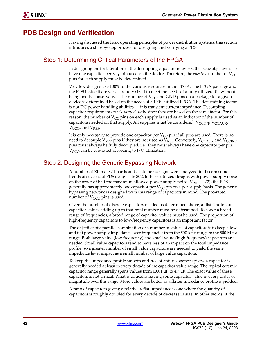## <span id="page-41-0"></span>**PDS Design and Verification**

Having discussed the basic operating principles of power distribution systems, this section introduces a step-by-step process for designing and verifying a PDS.

### <span id="page-41-1"></span>Step 1: Determining Critical Parameters of the FPGA

In designing the first iteration of the decoupling capacitor network, the basic objective is to have one capacitor per  $V_{CC}$  pin used on the device. Therefore, the *effective* number of  $V_{CC}$ pins for each supply must be determined.

Very few designs use 100% of the various resources in the FPGA. The FPGA package and the PDS inside it are very carefully sized to meet the needs of a fully utilized die without being overly conservative. The number of  $V_{CC}$  and GND pins on a package for a given device is determined based on the needs of a 100% utilized FPGA. The determining factor is not DC power handling abilities — it is transient current impedance. Decoupling capacitor requirements track very closely since they are based on the same factor. For this reason, the number of  $V_{CC}$  pins on each supply is used as an indicator of the number of capacitors needed on that supply. All supplies must be considered:  $V_{\text{CCTNT}}$ ,  $V_{\text{CCAUX}}$  $V_{\text{CCO}}$ , and  $V_{\text{REF}}$ .

It is only necessary to provide one capacitor per  $V_{CC}$  pin if all pins are used. There is no need to decouple  $V_{REF}$  pins if they are not used as  $V_{REF}$  Conversely,  $V_{CCAUX}$  and  $V_{CCINT}$ pins must always be fully decoupled, i.e., they must always have one capacitor per pin.  $V_{\rm{CCO}}$  can be pro-rated according to I/O utilization.

### <span id="page-41-2"></span>Step 2: Designing the Generic Bypassing Network

A number of Xilinx test boards and customer designs were analyzed to discern some trends of successful PDS designs. In 80% to 100% utilized designs with power supply noise on the order of half the maximum allowed power supply noise ( $V_{RIPPLE}/2$ ), the PDS generally has approximately one capacitor per  $V_{CC}$  pin on a per-supply basis. The generic bypassing network is designed with this range of capacitors in mind. The pro-rated number of  $V_{CCO}$  pins is used.

Given the number of discrete capacitors needed as determined above, a distribution of capacitor values adding up to that total number must be determined. To cover a broad range of frequencies, a broad range of capacitor values must be used. The proportion of high-frequency capacitors to low-frequency capacitors is an important factor.

The objective of a parallel combination of a number of values of capacitors is to keep a low and flat power supply impedance over frequencies from the 500 kHz range to the 500 MHz range. Both large value (low frequency) and small value (high frequency) capacitors are needed. Small value capacitors tend to have less of an impact on the total impedance profile, so a greater number of small value capacitors are needed to yield the same impedance level impact as a small number of large value capacitors.

To keep the impedance profile smooth and free of anti-resonance spikes, a capacitor is generally needed at least in every decade of the capacitor value range. The typical ceramic capacitor range generally spans values from 0.001  $\mu$ F to 4.7  $\mu$ F. The exact value of these capacitors is not critical. What is critical is having some capacitor value in every order of magnitude over this range. More values are better, as a flatter impedance profile is yielded.

A ratio of capacitors giving a relatively flat impedance is one where the quantity of capacitors is roughly doubled for every decade of decrease in size. In other words, if the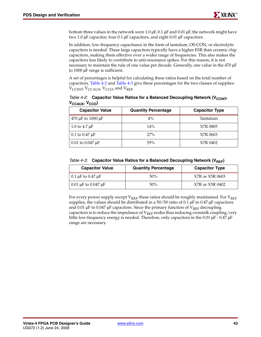bottom three values in the network were 1.0  $\mu$ F, 0.1  $\mu$ F and 0.01  $\mu$ F, the network might have two 1.0 μF capacitor, four 0.1 μF capacitors, and eight 0.01 μF capacitors.

In addition, low-frequency capacitance in the form of tantalum, OS-CON, or electrolytic capacitors is needed. These large capacitors typically have a higher ESR than ceramic chip capacitors, making them effective over a wider range of frequencies. This also makes the capacitors less likely to contribute to anti-resonance spikes. For this reason, it is not necessary to maintain the rule of one value per decade. Generally, one value in the 470 μF to 1000 μF range is sufficient.

A set of percentages is helpful for calculating these ratios based on the total number of capacitors. Table 4-2 and [Table 4-3](#page-42-0) give these percentages for the two classes of supplies: V<sub>CCINT</sub>, V<sub>CCAUX</sub>, V<sub>CCO</sub>, and V<sub>REF</sub>.

| $V_{CCAUX}$ , $V_{CCO}$ |                            |                       |  |  |  |
|-------------------------|----------------------------|-----------------------|--|--|--|
| <b>Capacitor Value</b>  | <b>Quantity Percentage</b> | <b>Capacitor Type</b> |  |  |  |
| 470 μF to 1000 μF       | $4\%$                      | Tantalum              |  |  |  |
| 1.0 to 4.7 $\mu$ F      | 14%                        | X7R 0805              |  |  |  |

*Table 4-2:* Capacitor Value Ratios for a Balanced Decoupling Network (V<sub>CCINT</sub>,

<span id="page-42-0"></span>

|  |  | <i>Table 4-3:</i> Capacitor Value Ratios for a Balanced Decoupling Network (V <sub>REF</sub> ) |  |  |  |  |
|--|--|------------------------------------------------------------------------------------------------|--|--|--|--|
|--|--|------------------------------------------------------------------------------------------------|--|--|--|--|

0.1 to 0.47 μF 27% X7R 0603  $0.01$  to  $0.047 \mu$ F 55% X7R 0402

| <b>Capacitor Value</b>        | <b>Quantity Percentage</b> | <b>Capacitor Type</b> |
|-------------------------------|----------------------------|-----------------------|
| $0.1 \mu$ F to $0.47 \mu$ F   | $50\%$                     | X7R or X5R 0603       |
| 0.01 $\mu$ F to 0.047 $\mu$ F | $50\%$                     | X7R or X5R 0402       |

For every power supply except  $V_{REF}$  these ratios should be roughly maintained. For  $V_{REF}$ supplies, the values should be distributed in a 50/50 ratio of 0.1  $\mu$ F to 0.47  $\mu$ F capacitors and 0.01  $\mu$ F to 0.047  $\mu$ F capacitors. Since the primary function of V<sub>RFF</sub> decoupling capacitors is to reduce the impedance of  $V_{REF}$  nodes thus reducing crosstalk coupling, very little low-frequency energy is needed. Therefore, only capacitors in the 0.01 μF - 0.47 μF range are necessary.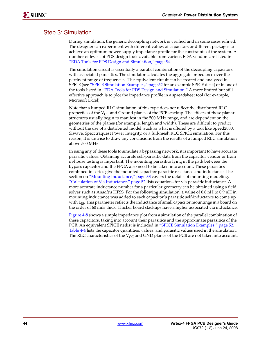#### <span id="page-43-0"></span>Step 3: Simulation

During simulation, the generic decoupling network is verified and in some cases refined. The designer can experiment with different values of capacitors or different packages to achieve an optimum power supply impedance profile for the constraints of the system. A number of levels of PDS design tools available from various EDA vendors are listed in ["EDA Tools for PDS Design and Simulation," page 54.](#page-53-1)

The simulation circuit is essentially a parallel combination of the decoupling capacitors with associated parasitics. The simulator calculates the aggregate impedance over the pertinent range of frequencies. The equivalent circuit can be created and analyzed in SPICE (see ["SPICE Simulation Examples," page 52](#page-51-1) for an example SPICE deck) or in one of the tools listed in ["EDA Tools for PDS Design and Simulation."](#page-53-1) A more limited but still effective approach is to plot the impedance profile in a spreadsheet tool (for example, Microsoft Excel).

Note that a lumped RLC simulation of this type does not reflect the distributed RLC properties of the  $V_{CC}$  and Ground planes of the PCB stackup. The effects of these planar structures usually begin to manifest in the 500 MHz range, and are dependent on the geometries of the planes (for example, length and width). These are difficult to predict without the use of a distributed model, such as what is offered by a tool like Speed2000, SIwave, Specctraquest Power Integrity, or a full-mesh RLC SPICE simulation. For this reason, it is unwise to draw any conclusions from the results of a lumped RLC simulation above 500 MHz.

In using any of these tools to simulate a bypassing network, it is important to have accurate parasitic values. Obtaining accurate self-parasitic data from the capacitor vendor or from in-house testing is important. The mounting parasitics lying in the path between the bypass capacitor and the FPGA also need to be taken into account. These parasitics combined in series give the mounted capacitor parasitic resistance and inductance. The section on ["Mounting Inductance," page 33](#page-32-1) covers the details of mounting modeling. ["Calculation of Via Inductance," page 52](#page-51-0) lists equations for via parasitic inductance. A more accurate inductance number for a particular geometry can be obtained using a field solver such as Ansoft's HFSS. For the following simulation, a value of 0.8 nH to 0.9 nH in mounting inductance was added to each capacitor's parasitic self-inductance to come up with  $L_{IS}$ . This parameter reflects the inductance of small capacitor mountings in a board on the order of 60 mils thick. Thicker board stackups have a higher associated via inductance.

Figure 4-8 shows a simple impedance plot from a simulation of the parallel combination of these capacitors, taking into account their parasitics and the approximate parasitics of the PCB. An equivalent SPICE netlist is included in ["SPICE Simulation Examples," page 52](#page-51-1). Table 4-4 lists the capacitor quantities, values, and parasitic values used in the simulation. The RLC characteristics of the  $V_{CC}$  and GND planes of the PCB are not taken into account.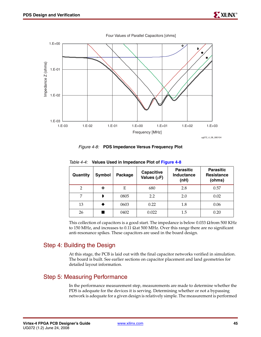



*Figure 4-8:* **PDS Impedance Versus Frequency Plot**

| Quantity | Symbol | Package | <b>Capacitive</b><br>Values $(\mu F)$ | <b>Parasitic</b><br>Inductance<br>(nH) | <b>Parasitic</b><br><b>Resistance</b><br>(ohms) |
|----------|--------|---------|---------------------------------------|----------------------------------------|-------------------------------------------------|
| 2        | ❖      | Ε       | 680                                   | 2.8                                    | 0.57                                            |
| 7        |        | 0805    | 2.2                                   | 2.0                                    | 0.02                                            |
| 13       |        | 0603    | 0.22                                  | 1.8                                    | 0.06                                            |
| 26       |        | 0402    | 0.022                                 | 1.5                                    | 0.20                                            |

*Table 4-4:* **Values Used in Impedance Plot of Figure 4-8**

This collection of capacitors is a good start. The impedance is below 0.033  $\Omega$  from 500 KHz to 150 MHz, and increases to 0.11  $\Omega$  at 500 MHz. Over this range there are no significant anti-resonance spikes. These capacitors are used in the board design.

### <span id="page-44-0"></span>Step 4: Building the Design

At this stage, the PCB is laid out with the final capacitor networks verified in simulation. The board is built. See earlier sections on capacitor placement and land geometries for detailed layout information.

### <span id="page-44-1"></span>Step 5: Measuring Performance

In the performance measurement step, measurements are made to determine whether the PDS is adequate for the devices it is serving. Determining whether or not a bypassing network is adequate for a given design is relatively simple. The measurement is performed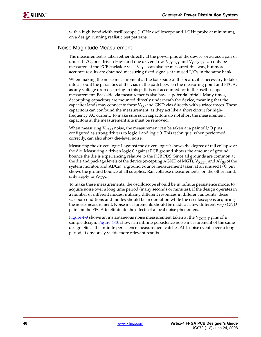<span id="page-45-0"></span>

with a high-bandwidth oscilloscope (1 GHz oscilloscope and 1 GHz probe at minimum), on a design running realistic test patterns.

#### Noise Magnitude Measurement

The measurement is taken either directly at the power pins of the device, or across a pair of unused I/O, one driven High and one driven Low.  $V_{\text{CCINT}}$  and  $V_{\text{CCAUX}}$  can only be measured at the PCB backside vias.  $V_{CCO}$  can also be measured this way, but more accurate results are obtained measuring fixed signals at unused I/Os in the same bank.

When making the noise measurement at the back-side of the board, it is necessary to take into account the parasitics of the vias in the path between the measuring point and FPGA, as any voltage drop occurring in this path is not accounted for in the oscilloscope measurement. Backside via measurements also have a potential pitfall. Many times, decoupling capacitors are mounted directly underneath the device, meaning that the capacitor lands may connect to these  $V_{CC}$  and GND vias directly with surface traces. These capacitors can confound the measurement, as they act like a short circuit for highfrequency AC current. To make sure such capacitors do not short the measurement, capacitors at the measurement site must be removed.

When measuring  $V_{CCO}$  noise, the measurement can be taken at a pair of I/O pins configured as strong drivers to logic 1 and logic 0. This technique, when performed correctly, can also show die-level noise.

Measuring the driven logic 1 against the driven logic 0 shows the degree of rail collapse at the die. Measuring a driven logic 0 against PCB ground shows the amount of ground bounce the die is experiencing relative to the PCB PDS. Since all grounds are common at the die and package levels of the device (excepting AGND of MGTs,  $V_{REFN}$  and  $AV_{SS}$  of the system monitor, and ADCs), a ground bounce measurement taken at an unused I/O pin shows the ground bounce of all supplies. Rail collapse measurements, on the other hand, only apply to  $V_{\text{CCO}}$ .

To make these measurements, the oscilloscope should be in infinite persistence mode, to acquire noise over a long time period (many seconds or minutes). If the design operates in a number of different modes, utilizing different resources in different amounts, these various conditions and modes should be in operation while the oscilloscope is acquiring the noise measurement. Noise measurements should be made at a few different  $V_{CC}/GND$ pairs on the FPGA to eliminate the effects of a local noise phenomena.

Figure 4-9 shows an instantaneous noise measurement taken at the  $V_{\text{CCINT}}$  pins of a sample design. Figure 4-10 shows an infinite persistence noise measurement of the same design. Since the infinite persistence measurement catches ALL noise events over a long period, it obviously yields more relevant results.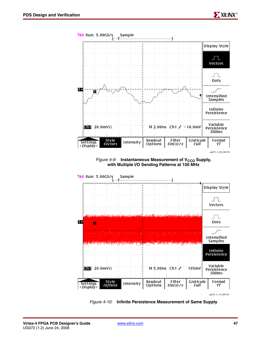

*Figure 4-9:* **Instantaneous Measurement of V<sub>CCO</sub> Supply, with Multiple I/O Sending Patterns at 100 MHz**



*Figure 4-10:* **Infinite Persistence Measurement of Same Supply**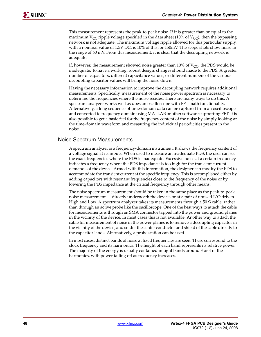This measurement represents the peak-to-peak noise. If it is greater than or equal to the maximum  $V_{CC}$  ripple voltage specified in the data sheet (10% of  $V_{CC}$ ), then the bypassing network is not adequate. The maximum voltage ripple allowed for this particular supply, with a nominal value of 1.5V DC, is 10% of this, or 150mV. The scope shots show noise in the range of 60 mV. From this measurement, it is clear that the decoupling network is adequate.

If, however, the measurement showed noise greater than 10% of  $V_{CC}$ , the PDS would be inadequate. To have a working, robust design, changes should made to the PDS. A greater number of capacitors, different capacitance values, or different numbers of the various decoupling capacitor values will bring the noise down.

Having the necessary information to improve the decoupling network requires additional measurements. Specifically, measurement of the noise power spectrum is necessary to determine the frequencies where the noise resides. There are many ways to do this. A spectrum analyzer works well as does an oscilloscope with FFT math functionality. Alternatively, a long sequence of time-domain data can be captured from an oscilloscope and converted to frequency domain using MATLAB or other software supporting FFT. It is also possible to get a basic feel for the frequency content of the noise by simply looking at the time-domain waveform and measuring the individual periodicities present in the noise.

#### <span id="page-47-0"></span>Noise Spectrum Measurements

A spectrum analyzer is a frequency-domain instrument. It shows the frequency content of a voltage signal at its inputs. When used to measure an inadequate PDS, the user can see the exact frequencies where the PDS is inadequate. Excessive noise at a certain frequency indicates a frequency where the PDS impedance is too high for the transient current demands of the device. Armed with this information, the designer can modify the PDS to accommodate the transient current at the specific frequency. This is accomplished either by adding capacitors with resonant frequencies close to the frequency of the noise or by lowering the PDS impedance at the critical frequency through other means.

The noise spectrum measurement should be taken in the same place as the peak-to-peak noise measurement — directly underneath the device, or at a pair of unused I/O driven High and Low. A spectrum analyzer takes its measurements through a 50  $\Omega$  cable, rather than through an active probe like the oscilloscope. One of the best ways to attach the cable for measurements is through an SMA connector tapped into the power and ground planes in the vicinity of the device. In most cases this is not available. Another way to attach the cable for measurement of noise in the power planes is to remove a decoupling capacitor in the vicinity of the device, and solder the center conductor and shield of the cable directly to the capacitor lands. Alternatively, a probe station can be used.

In most cases, distinct bands of noise at fixed frequencies are seen. These correspond to the clock frequency and its harmonics. The height of each band represents its relative power. The majority of the energy is usually contained in tight bands around 3 or 4 of the harmonics, with power falling off as frequency increases.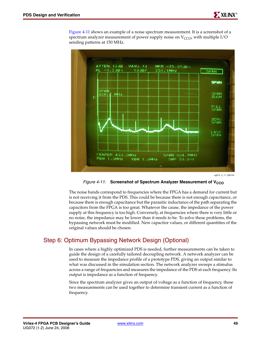



ug072\_4\_11\_080104

*Figure 4-11:* Screenshot of Spectrum Analyzer Measurement of V<sub>CCO</sub>

The noise bands correspond to frequencies where the FPGA has a demand for current but is not receiving it from the PDS. This could be because there is not enough capacitance, or because there is enough capacitance but the parasitic inductance of the path separating the capacitors from the FPGA is too great. Whatever the cause, the impedance of the power supply at this frequency is too high. Conversely, at frequencies where there is very little or no noise, the impedance may be lower than it needs to be. To solve these problems, the bypassing network must be modified. New capacitor values, or different quantities of the original values should be chosen.

### <span id="page-48-0"></span>Step 6: Optimum Bypassing Network Design (Optional)

In cases where a highly optimized PDS is needed, further measurements can be taken to guide the design of a carefully tailored decoupling network. A network analyzer can be used to measure the impedance profile of a prototype PDS, giving an output similar to what was discussed in the simulation section. The network analyzer sweeps a stimulus across a range of frequencies and measures the impedance of the PDS at each frequency. Its output is impedance as a function of frequency.

Since the spectrum analyzer gives an output of voltage as a function of frequency, these two measurements can be used together to determine transient current as a function of frequency.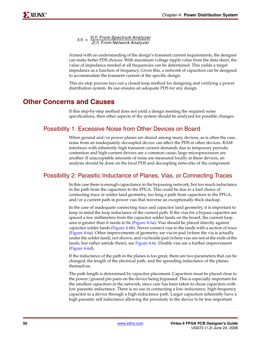*I*(*f*) =  $\frac{V(f) \text{ From Spectrum Analyzer}}{Z(f) \text{ From Network Analyzer}}$ 

Armed with an understanding of the design's transient current requirements, the designer can make better PDS choices. With maximum voltage ripple value from the data sheet, the value of impedance needed at all frequencies can be determined. This yields a target impedance as a function of frequency. Given this, a network of capacitors can be designed to accommodate the transient current of the specific design.

This six-step process lays out a closed-loop method for designing and verifying a power distribution system. Its use ensures an adequate PDS for any design.

## <span id="page-49-0"></span>**Other Concerns and Causes**

If this step-by-step method does not yield a design meeting the required noise specifications, then other aspects of the system should be analyzed for possible changes.

#### <span id="page-49-1"></span>Possibility 1: Excessive Noise from Other Devices on Board

When ground and/or power planes are shared among many devices, as is often the case, noise from an inadequately decoupled device can affect the PDS at other devices. RAM interfaces with inherently high transient current demands due to temporary periodic contention and high-current drivers are a common cause; large microprocessors are another. If unacceptable amounts of noise are measured locally at these devices, an analysis should be done on the local PDS and decoupling networks of the component.

#### <span id="page-49-2"></span>Possibility 2: Parasitic Inductance of Planes, Vias, or Connecting Traces

In this case there is enough capacitance in the bypassing network, but too much inductance in the path from the capacitors to the FPGA. This could be due to a bad choice of connecting trace or solder land geometry, too long a path from capacitors to the FPGA, and/or a current path in power vias that traverse an exceptionally thick stackup.

In the case of inadequate connecting trace and capacitor land geometry, it is important to keep in mind the loop inductance of the current path. If the vias for a bypass capacitor are spaced a few millimeters from the capacitor solder lands on the board, the current loop area is greater than it needs to be (Figure 4-6a). Vias should be placed directly against capacitor solder lands (Figure 4-6b). Never connect vias to the lands with a section of trace (Figure 4-6a). Other improvements of geometry are via-in-pad (where the via is actually under the solder land), not shown, and via beside pad (where vias are not at the ends of the lands, but rather astride them), see Figure 4-6c. Double vias are a further improvement (Figure 4-6d).

If the inductance of the path in the planes is too great, there are two parameters that can be changed; the length of the electrical path, and the spreading inductance of the planes themselves.

The path length is determined by capacitor placement. Capacitors must be placed close to the power/ground pin pairs on the device being bypassed. This is especially important for the smallest capacitors in the network, since care has been taken to chose capacitors with low parasitic inductance. There is no use in connecting a low-inductance, high-frequency capacitor to a device through a high-inductance path. Larger capacitors inherently have a high parasitic self inductance allowing the proximity to the device to be less important.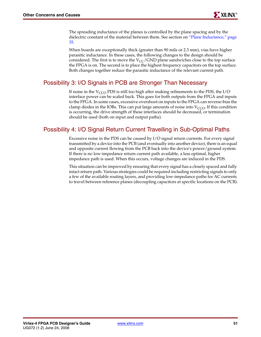

The spreading inductance of the planes is controlled by the plane spacing and by the dielectric constant of the material between them. See section on ["Plane Inductance," page](#page-34-0)  [35.](#page-34-0)

When boards are exceptionally thick (greater than 90 mils or 2.3 mm), vias have higher parasitic inductance. In these cases, the following changes to the design should be considered. The first is to move the  $V_{CC}/GND$  plane sandwiches close to the top surface the FPGA is on. The second is to place the highest frequency capacitors on the top surface. Both changes together reduce the parasitic inductance of the relevant current path.

### <span id="page-50-0"></span>Possibility 3: I/O Signals in PCB are Stronger Than Necessary

If noise in the V<sub>CCO</sub> PDS is still too high after making refinements to the PDS, the I/O interface power can be scaled back. This goes for both outputs from the FPGA and inputs to the FPGA. In some cases, excessive overshoot on inputs to the FPGA can reverse-bias the clamp diodes in the IOBs. This can put large amounts of noise into  $V_{CCO}$ . If this condition is occurring, the drive strength of these interfaces should be decreased, or termination should be used (both on input and output paths).

## <span id="page-50-1"></span>Possibility 4: I/O Signal Return Current Travelling in Sub-Optimal Paths

Excessive noise in the PDS can be caused by I/O signal return currents. For every signal transmitted by a device into the PCB (and eventually into another device), there is an equal and opposite current flowing from the PCB back into the device's power/ground system. If there is no low-impedance return current path available, a less optimal, higher impedance path is used. When this occurs, voltage changes are induced in the PDS.

This situation can be improved by ensuring that every signal has a closely spaced and fully intact return path. Various strategies could be required including restricting signals to only a few of the available routing layers, and providing low-impedance paths for AC currents to travel between reference planes (decoupling capacitors at specific locations on the PCB).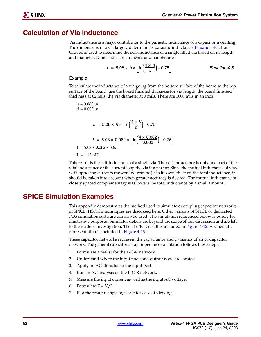## <span id="page-51-0"></span>**Calculation of Via Inductance**

Via inductance is a major contributor to the parasitic inductance of a capacitor mounting. The dimensions of a via largely determine its parasitic inductance. [Equation 4-5](#page-51-2), from Grover, is used to determine the self-inductance of a single filled via based on its length and diameter. Dimensions are in inches and nanohenries.

$$
L = 5.08 \times h \times \left[ \ln \left( \frac{4 \times h}{d} \right) - 0.75 \right]
$$
 *Equation 4-5*

#### <span id="page-51-2"></span>Example

To calculate the inductance of a via going from the bottom surface of the board to the top surface of the board, use the board finished thickness for via length: the board finished thickness at 62 mils, the via diameter at 3 mils. There are 1000 mils in an inch.

 $h = 0.062$  in  $d = 0.003$  in  $L = 5.08 \times 0.062 \times 3.67$  $L = 1.15$  nH  $L = 5.08 \times h \times \left[ \ln \left( \frac{4 \times h}{d} \right) - 0.75 \right]$  $L = 5.08 \times 0.062 \times \left[ \ln \left( \frac{4 \times 0.062}{0.003} \right) - 0.75 \right]$ 

This result is the self-inductance of a single via. The self-inductance is only one part of the total inductance of the current loop the via is a part of. Since the mutual inductance of vias with opposing currents (power and ground) has its own effect on the total inductance, it should be taken into account when greater accuracy is desired. The mutual inductance of closely spaced complementary vias lowers the total inductance by a small amount.

## <span id="page-51-1"></span>**SPICE Simulation Examples**

This appendix demonstrates the method used to simulate decoupling capacitor networks in SPICE. HSPICE techniques are discussed here. Other variants of SPICE or dedicated PDS simulation software can also be used. The simulation referenced below is purely for illustrative purposes. Simulator details are beyond the scope of this discussion and are left to the readers' investigation. The HSPICE result is included in Figure 4-12. A schematic representation is included in Figure 4-13.

These capacitor networks represent the capacitance and parasitics of an 18-capacitor network. The general capacitor array impedance calculation follows these steps:

- 1. Formulate a netlist for the L-C-R network.
- 2. Understand where the input node and output node are located.
- 3. Apply an AC stimulus to the input port.
- 4. Run an AC analysis on the L-C-R network.
- 5. Measure the input current as well as the input AC voltage.
- 6. Formulate  $Z = V/I$ .
- 7. Plot the result using a log scale for ease of viewing.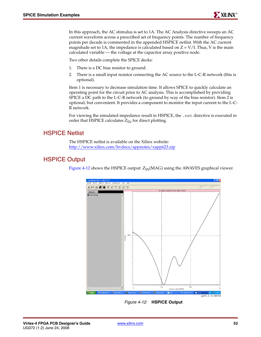

In this approach, the AC stimulus is set to 1A. The AC Analysis directive sweeps an AC current waveform across a prescribed set of frequency points. The number of frequency points per decade is commented in the appended HSPICE netlist. With the AC current magnitude set to 1A, the impedance is calculated based on  $Z = V/I$ . Thus, V is the main calculated variable — the voltage at the capacitor array positive node.

Two other details complete the SPICE decks:

- 1. There is a DC bias resistor to ground.
- 2. There is a small input resistor connecting the AC source to the L-C-R network (this is optional).

Item 1 is necessary to decrease simulation time. It allows SPICE to quickly calculate an operating point for the circuit prior to AC analysis. This is accomplished by providing SPICE a DC path to the L-C-R network (to ground by way of the bias resistor). Item 2 is optional, but convenient. It provides a component to monitor the input current to the L-C-R network.

For viewing the simulated impedance result in HSPICE, the .net directive is executed in order that HSPICE calculates  $Z_{IN}$  for direct plotting.

#### <span id="page-52-0"></span>HSPICE Netlist

The HSPICE netlist is available on the Xilinx website: <http://www.xilinx.com/bvdocs/appnotes/xapp623.zip>

#### <span id="page-52-1"></span>HSPICE Output

Figure 4-12 shows the HSPICE output:  $Z_{IN}$ (MAG) using the AWAVES graphical viewer.



*Figure 4-12:* **HSPICE Output**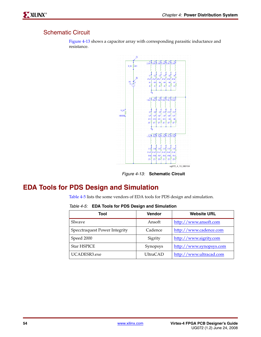## <span id="page-53-0"></span>Schematic Circuit

Figure 4-13 shows a capacitor array with corresponding parasitic inductance and resistance.



*Figure 4-13:* **Schematic Circuit**

## <span id="page-53-1"></span>**EDA Tools for PDS Design and Simulation**

Table 4-5 lists the some vendors of EDA tools for PDS design and simulation.

| Table 4-5: EDA Tools for PDS Design and Simulation |               |                         |  |  |  |
|----------------------------------------------------|---------------|-------------------------|--|--|--|
| Tool                                               | <b>Vendor</b> | <b>Website URL</b>      |  |  |  |
| SIwave                                             | Ansoft        | http://www.ansoft.com   |  |  |  |
| <b>Specctraquest Power Integrity</b>               | Cadence       | http://www.cadence.com  |  |  |  |
| Speed 2000                                         | Sigrity       | http://www.sigrity.com  |  |  |  |
| <b>Star HSPICE</b>                                 | Synopsys      | http://www.synopsys.com |  |  |  |

UCADESR3.exe UltraCAD <http://www.ultracad.com>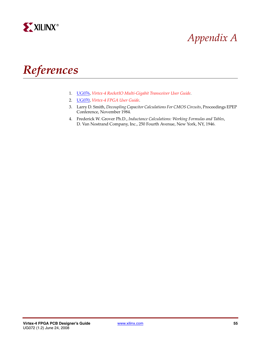

# *Appendix A*

# <span id="page-54-1"></span><span id="page-54-0"></span>*References*

- <span id="page-54-3"></span><span id="page-54-2"></span>1. [UG076](http://www.xilinx.com/support/documentation/user_guides/ug076.pdf), *Virtex-4 RocketIO Multi-Gigabit Transceiver User Guide*.
- 2. [UG070](http://www.xilinx.com/support/documentation/user_guides/ug070.pdf), *Virtex-4 FPGA User Guide*.
- <span id="page-54-4"></span>3. Larry D. Smith, *Decoupling Capacitor Calculations For CMOS Circuits*, Proceedings EPEP Conference, November 1984.
- 4. Frederick W. Grover Ph.D., *Inductance Calculations: Working Formulas and Tables*, D. Van Nostrand Company, Inc., 250 Fourth Avenue, New York, NY, 1946.